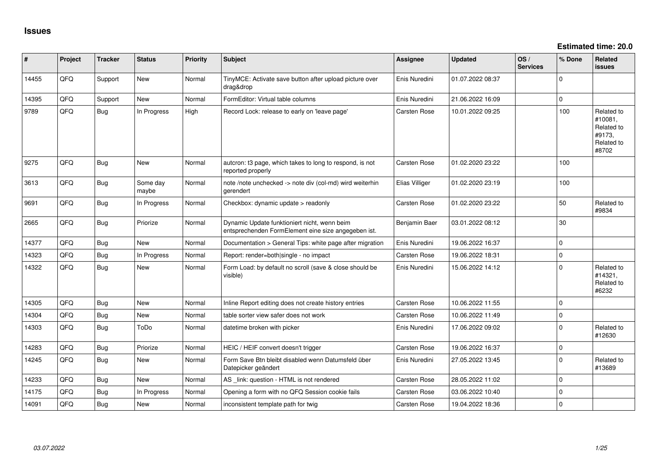| #     | Project    | <b>Tracker</b> | <b>Status</b>     | <b>Priority</b> | <b>Subject</b>                                                                                      | Assignee       | <b>Updated</b>   | OS/<br><b>Services</b> | % Done      | Related<br>issues                                                    |
|-------|------------|----------------|-------------------|-----------------|-----------------------------------------------------------------------------------------------------|----------------|------------------|------------------------|-------------|----------------------------------------------------------------------|
| 14455 | QFQ        | Support        | New               | Normal          | TinyMCE: Activate save button after upload picture over<br>drag&drop                                | Enis Nuredini  | 01.07.2022 08:37 |                        | $\Omega$    |                                                                      |
| 14395 | <b>OFO</b> | Support        | New               | Normal          | FormEditor: Virtual table columns                                                                   | Enis Nuredini  | 21.06.2022 16:09 |                        | $\Omega$    |                                                                      |
| 9789  | QFQ        | <b>Bug</b>     | In Progress       | High            | Record Lock: release to early on 'leave page'                                                       | Carsten Rose   | 10.01.2022 09:25 |                        | 100         | Related to<br>#10081,<br>Related to<br>#9173,<br>Related to<br>#8702 |
| 9275  | QFQ        | <b>Bug</b>     | New               | Normal          | autcron: t3 page, which takes to long to respond, is not<br>reported properly                       | Carsten Rose   | 01.02.2020 23:22 |                        | 100         |                                                                      |
| 3613  | QFQ        | <b>Bug</b>     | Some day<br>maybe | Normal          | note /note unchecked -> note div (col-md) wird weiterhin<br>gerendert                               | Elias Villiger | 01.02.2020 23:19 |                        | 100         |                                                                      |
| 9691  | QFQ        | <b>Bug</b>     | In Progress       | Normal          | Checkbox: dynamic update > readonly                                                                 | Carsten Rose   | 01.02.2020 23:22 |                        | 50          | Related to<br>#9834                                                  |
| 2665  | QFQ        | <b>Bug</b>     | Priorize          | Normal          | Dynamic Update funktioniert nicht, wenn beim<br>entsprechenden FormElement eine size angegeben ist. | Benjamin Baer  | 03.01.2022 08:12 |                        | 30          |                                                                      |
| 14377 | QFQ        | Bug            | <b>New</b>        | Normal          | Documentation > General Tips: white page after migration                                            | Enis Nuredini  | 19.06.2022 16:37 |                        | $\mathbf 0$ |                                                                      |
| 14323 | QFQ        | Bug            | In Progress       | Normal          | Report: render=both single - no impact                                                              | Carsten Rose   | 19.06.2022 18:31 |                        | $\Omega$    |                                                                      |
| 14322 | QFQ        | Bug            | <b>New</b>        | Normal          | Form Load: by default no scroll (save & close should be<br>visible)                                 | Enis Nuredini  | 15.06.2022 14:12 |                        | $\Omega$    | Related to<br>#14321,<br>Related to<br>#6232                         |
| 14305 | QFQ        | <b>Bug</b>     | New               | Normal          | Inline Report editing does not create history entries                                               | Carsten Rose   | 10.06.2022 11:55 |                        | $\Omega$    |                                                                      |
| 14304 | QFQ        | Bug            | New               | Normal          | table sorter view safer does not work                                                               | Carsten Rose   | 10.06.2022 11:49 |                        | $\Omega$    |                                                                      |
| 14303 | QFQ        | <b>Bug</b>     | ToDo              | Normal          | datetime broken with picker                                                                         | Enis Nuredini  | 17.06.2022 09:02 |                        | $\Omega$    | Related to<br>#12630                                                 |
| 14283 | <b>OFO</b> | Bug            | Priorize          | Normal          | HEIC / HEIF convert doesn't trigger                                                                 | Carsten Rose   | 19.06.2022 16:37 |                        | $\Omega$    |                                                                      |
| 14245 | QFQ        | Bug            | <b>New</b>        | Normal          | Form Save Btn bleibt disabled wenn Datumsfeld über<br>Datepicker geändert                           | Enis Nuredini  | 27.05.2022 13:45 |                        | $\Omega$    | Related to<br>#13689                                                 |
| 14233 | QFQ        | Bug            | <b>New</b>        | Normal          | AS _link: question - HTML is not rendered                                                           | Carsten Rose   | 28.05.2022 11:02 |                        | $\Omega$    |                                                                      |
| 14175 | QFQ        | <b>Bug</b>     | In Progress       | Normal          | Opening a form with no QFQ Session cookie fails                                                     | Carsten Rose   | 03.06.2022 10:40 |                        | $\Omega$    |                                                                      |
| 14091 | QFQ        | <b>Bug</b>     | <b>New</b>        | Normal          | inconsistent template path for twig                                                                 | Carsten Rose   | 19.04.2022 18:36 |                        | $\Omega$    |                                                                      |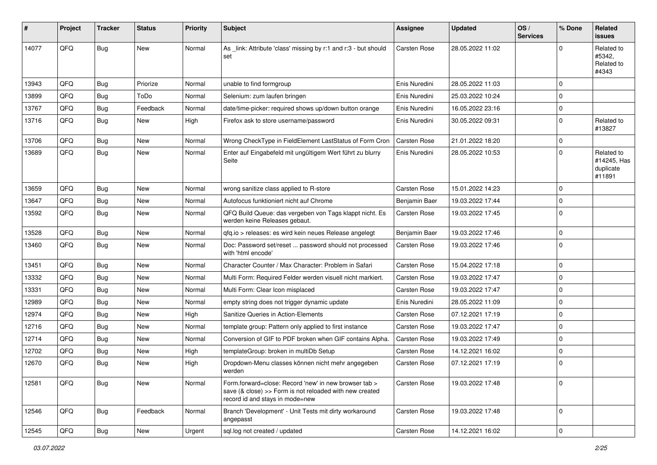| #     | Project | <b>Tracker</b> | <b>Status</b> | <b>Priority</b> | Subject                                                                                                                                             | Assignee      | <b>Updated</b>   | OS/<br><b>Services</b> | % Done      | Related<br>issues                                |
|-------|---------|----------------|---------------|-----------------|-----------------------------------------------------------------------------------------------------------------------------------------------------|---------------|------------------|------------------------|-------------|--------------------------------------------------|
| 14077 | QFQ     | Bug            | New           | Normal          | As _link: Attribute 'class' missing by r:1 and r:3 - but should<br>set                                                                              | Carsten Rose  | 28.05.2022 11:02 |                        | $\Omega$    | Related to<br>#5342.<br>Related to<br>#4343      |
| 13943 | QFQ     | Bug            | Priorize      | Normal          | unable to find formgroup                                                                                                                            | Enis Nuredini | 28.05.2022 11:03 |                        | $\Omega$    |                                                  |
| 13899 | QFQ     | <b>Bug</b>     | ToDo          | Normal          | Selenium: zum laufen bringen                                                                                                                        | Enis Nuredini | 25.03.2022 10:24 |                        | $\Omega$    |                                                  |
| 13767 | QFQ     | Bug            | Feedback      | Normal          | date/time-picker: required shows up/down button orange                                                                                              | Enis Nuredini | 16.05.2022 23:16 |                        | $\Omega$    |                                                  |
| 13716 | QFQ     | Bug            | New           | High            | Firefox ask to store username/password                                                                                                              | Enis Nuredini | 30.05.2022 09:31 |                        | $\Omega$    | Related to<br>#13827                             |
| 13706 | QFQ     | Bug            | <b>New</b>    | Normal          | Wrong CheckType in FieldElement LastStatus of Form Cron                                                                                             | Carsten Rose  | 21.01.2022 18:20 |                        | $\mathbf 0$ |                                                  |
| 13689 | QFQ     | Bug            | New           | Normal          | Enter auf Eingabefeld mit ungültigem Wert führt zu blurry<br>Seite                                                                                  | Enis Nuredini | 28.05.2022 10:53 |                        | $\Omega$    | Related to<br>#14245, Has<br>duplicate<br>#11891 |
| 13659 | QFQ     | Bug            | New           | Normal          | wrong sanitize class applied to R-store                                                                                                             | Carsten Rose  | 15.01.2022 14:23 |                        | $\Omega$    |                                                  |
| 13647 | QFQ     | Bug            | New           | Normal          | Autofocus funktioniert nicht auf Chrome                                                                                                             | Benjamin Baer | 19.03.2022 17:44 |                        | $\Omega$    |                                                  |
| 13592 | QFQ     | Bug            | <b>New</b>    | Normal          | QFQ Build Queue: das vergeben von Tags klappt nicht. Es<br>werden keine Releases gebaut.                                                            | Carsten Rose  | 19.03.2022 17:45 |                        | $\Omega$    |                                                  |
| 13528 | QFQ     | Bug            | New           | Normal          | qfq.io > releases: es wird kein neues Release angelegt                                                                                              | Benjamin Baer | 19.03.2022 17:46 |                        | $\Omega$    |                                                  |
| 13460 | QFQ     | Bug            | <b>New</b>    | Normal          | Doc: Password set/reset  password should not processed<br>with 'html encode'                                                                        | Carsten Rose  | 19.03.2022 17:46 |                        | $\Omega$    |                                                  |
| 13451 | QFQ     | Bug            | <b>New</b>    | Normal          | Character Counter / Max Character: Problem in Safari                                                                                                | Carsten Rose  | 15.04.2022 17:18 |                        | $\Omega$    |                                                  |
| 13332 | QFQ     | Bug            | New           | Normal          | Multi Form: Required Felder werden visuell nicht markiert.                                                                                          | Carsten Rose  | 19.03.2022 17:47 |                        | $\Omega$    |                                                  |
| 13331 | QFQ     | Bug            | <b>New</b>    | Normal          | Multi Form: Clear Icon misplaced                                                                                                                    | Carsten Rose  | 19.03.2022 17:47 |                        | $\Omega$    |                                                  |
| 12989 | QFQ     | <b>Bug</b>     | <b>New</b>    | Normal          | empty string does not trigger dynamic update                                                                                                        | Enis Nuredini | 28.05.2022 11:09 |                        | $\Omega$    |                                                  |
| 12974 | QFQ     | <b>Bug</b>     | <b>New</b>    | High            | Sanitize Queries in Action-Elements                                                                                                                 | Carsten Rose  | 07.12.2021 17:19 |                        | $\Omega$    |                                                  |
| 12716 | QFQ     | <b>Bug</b>     | New           | Normal          | template group: Pattern only applied to first instance                                                                                              | Carsten Rose  | 19.03.2022 17:47 |                        | $\Omega$    |                                                  |
| 12714 | QFQ     | Bug            | New           | Normal          | Conversion of GIF to PDF broken when GIF contains Alpha.                                                                                            | Carsten Rose  | 19.03.2022 17:49 |                        | $\Omega$    |                                                  |
| 12702 | QFQ     | <b>Bug</b>     | <b>New</b>    | High            | templateGroup: broken in multiDb Setup                                                                                                              | Carsten Rose  | 14.12.2021 16:02 |                        | $\Omega$    |                                                  |
| 12670 | QFQ     | <b>Bug</b>     | New           | High            | Dropdown-Menu classes können nicht mehr angegeben<br>werden                                                                                         | Carsten Rose  | 07.12.2021 17:19 |                        | $\Omega$    |                                                  |
| 12581 | QFQ     | Bug            | <b>New</b>    | Normal          | Form.forward=close: Record 'new' in new browser tab ><br>save (& close) >> Form is not reloaded with new created<br>record id and stays in mode=new | Carsten Rose  | 19.03.2022 17:48 |                        | $\Omega$    |                                                  |
| 12546 | QFQ     | Bug            | Feedback      | Normal          | Branch 'Development' - Unit Tests mit dirty workaround<br>angepasst                                                                                 | Carsten Rose  | 19.03.2022 17:48 |                        | $\Omega$    |                                                  |
| 12545 | QFQ     | Bug            | New           | Urgent          | sql.log not created / updated                                                                                                                       | Carsten Rose  | 14.12.2021 16:02 |                        | $\pmb{0}$   |                                                  |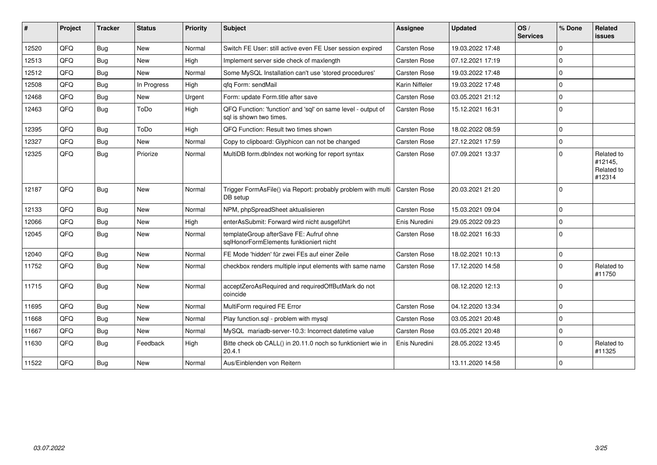| #     | Project | <b>Tracker</b> | <b>Status</b> | <b>Priority</b> | Subject                                                                                 | Assignee            | <b>Updated</b>   | OS/<br><b>Services</b> | % Done      | Related<br><b>issues</b>                      |
|-------|---------|----------------|---------------|-----------------|-----------------------------------------------------------------------------------------|---------------------|------------------|------------------------|-------------|-----------------------------------------------|
| 12520 | QFQ     | Bug            | <b>New</b>    | Normal          | Switch FE User: still active even FE User session expired                               | Carsten Rose        | 19.03.2022 17:48 |                        | $\Omega$    |                                               |
| 12513 | QFQ     | Bug            | <b>New</b>    | High            | Implement server side check of maxlength                                                | <b>Carsten Rose</b> | 07.12.2021 17:19 |                        | $\mathbf 0$ |                                               |
| 12512 | QFQ     | <b>Bug</b>     | New           | Normal          | Some MySQL Installation can't use 'stored procedures'                                   | <b>Carsten Rose</b> | 19.03.2022 17:48 |                        | $\mathbf 0$ |                                               |
| 12508 | QFQ     | <b>Bug</b>     | In Progress   | High            | gfg Form: sendMail                                                                      | Karin Niffeler      | 19.03.2022 17:48 |                        | $\mathbf 0$ |                                               |
| 12468 | QFQ     | <b>Bug</b>     | <b>New</b>    | Urgent          | Form: update Form.title after save                                                      | <b>Carsten Rose</b> | 03.05.2021 21:12 |                        | $\mathbf 0$ |                                               |
| 12463 | QFQ     | Bug            | ToDo          | High            | QFQ Function: 'function' and 'sgl' on same level - output of<br>sal is shown two times. | <b>Carsten Rose</b> | 15.12.2021 16:31 |                        | $\mathbf 0$ |                                               |
| 12395 | QFQ     | <b>Bug</b>     | ToDo          | High            | QFQ Function: Result two times shown                                                    | <b>Carsten Rose</b> | 18.02.2022 08:59 |                        | $\mathbf 0$ |                                               |
| 12327 | QFQ     | <b>Bug</b>     | New           | Normal          | Copy to clipboard: Glyphicon can not be changed                                         | <b>Carsten Rose</b> | 27.12.2021 17:59 |                        | $\mathbf 0$ |                                               |
| 12325 | QFQ     | <b>Bug</b>     | Priorize      | Normal          | MultiDB form.dblndex not working for report syntax                                      | Carsten Rose        | 07.09.2021 13:37 |                        | $\mathbf 0$ | Related to<br>#12145.<br>Related to<br>#12314 |
| 12187 | QFQ     | <b>Bug</b>     | <b>New</b>    | Normal          | Trigger FormAsFile() via Report: probably problem with multi<br>DB setup                | <b>Carsten Rose</b> | 20.03.2021 21:20 |                        | $\mathbf 0$ |                                               |
| 12133 | QFQ     | <b>Bug</b>     | <b>New</b>    | Normal          | NPM, phpSpreadSheet aktualisieren                                                       | <b>Carsten Rose</b> | 15.03.2021 09:04 |                        | $\mathbf 0$ |                                               |
| 12066 | QFQ     | <b>Bug</b>     | <b>New</b>    | High            | enterAsSubmit: Forward wird nicht ausgeführt                                            | Enis Nuredini       | 29.05.2022 09:23 |                        | $\mathbf 0$ |                                               |
| 12045 | QFQ     | <b>Bug</b>     | <b>New</b>    | Normal          | templateGroup afterSave FE: Aufruf ohne<br>sqlHonorFormElements funktioniert nicht      | <b>Carsten Rose</b> | 18.02.2021 16:33 |                        | $\Omega$    |                                               |
| 12040 | QFQ     | Bug            | <b>New</b>    | Normal          | FE Mode 'hidden' für zwei FEs auf einer Zeile                                           | <b>Carsten Rose</b> | 18.02.2021 10:13 |                        | $\mathbf 0$ |                                               |
| 11752 | QFQ     | Bug            | <b>New</b>    | Normal          | checkbox renders multiple input elements with same name                                 | <b>Carsten Rose</b> | 17.12.2020 14:58 |                        | $\Omega$    | Related to<br>#11750                          |
| 11715 | QFQ     | Bug            | <b>New</b>    | Normal          | acceptZeroAsRequired and requiredOffButMark do not<br>coincide                          |                     | 08.12.2020 12:13 |                        | $\mathbf 0$ |                                               |
| 11695 | QFQ     | <b>Bug</b>     | New           | Normal          | MultiForm required FE Error                                                             | Carsten Rose        | 04.12.2020 13:34 |                        | $\Omega$    |                                               |
| 11668 | QFQ     | <b>Bug</b>     | <b>New</b>    | Normal          | Play function.sql - problem with mysql                                                  | <b>Carsten Rose</b> | 03.05.2021 20:48 |                        | $\Omega$    |                                               |
| 11667 | QFQ     | <b>Bug</b>     | <b>New</b>    | Normal          | MySQL mariadb-server-10.3: Incorrect datetime value                                     | <b>Carsten Rose</b> | 03.05.2021 20:48 |                        | $\mathbf 0$ |                                               |
| 11630 | QFQ     | Bug            | Feedback      | High            | Bitte check ob CALL() in 20.11.0 noch so funktioniert wie in<br>20.4.1                  | Enis Nuredini       | 28.05.2022 13:45 |                        | $\Omega$    | Related to<br>#11325                          |
| 11522 | QFQ     | <b>Bug</b>     | New           | Normal          | Aus/Einblenden von Reitern                                                              |                     | 13.11.2020 14:58 |                        | 0           |                                               |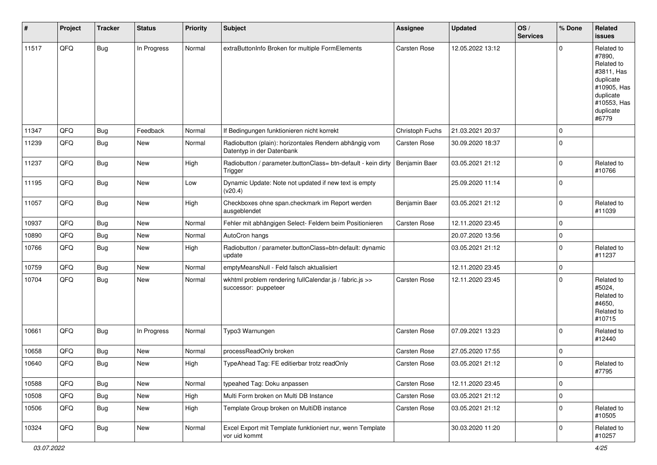| #     | Project | <b>Tracker</b> | <b>Status</b> | <b>Priority</b> | <b>Subject</b>                                                                      | Assignee            | <b>Updated</b>   | OS/<br><b>Services</b> | % Done      | Related<br><b>issues</b>                                                                                                       |
|-------|---------|----------------|---------------|-----------------|-------------------------------------------------------------------------------------|---------------------|------------------|------------------------|-------------|--------------------------------------------------------------------------------------------------------------------------------|
| 11517 | QFQ     | Bug            | In Progress   | Normal          | extraButtonInfo Broken for multiple FormElements                                    | Carsten Rose        | 12.05.2022 13:12 |                        | $\mathbf 0$ | Related to<br>#7890,<br>Related to<br>#3811, Has<br>duplicate<br>#10905, Has<br>duplicate<br>#10553, Has<br>duplicate<br>#6779 |
| 11347 | QFQ     | Bug            | Feedback      | Normal          | If Bedingungen funktionieren nicht korrekt                                          | Christoph Fuchs     | 21.03.2021 20:37 |                        | $\mathbf 0$ |                                                                                                                                |
| 11239 | QFQ     | Bug            | New           | Normal          | Radiobutton (plain): horizontales Rendern abhängig vom<br>Datentyp in der Datenbank | Carsten Rose        | 30.09.2020 18:37 |                        | $\mathbf 0$ |                                                                                                                                |
| 11237 | QFQ     | <b>Bug</b>     | New           | High            | Radiobutton / parameter.buttonClass= btn-default - kein dirty<br>Trigger            | Benjamin Baer       | 03.05.2021 21:12 |                        | 0           | Related to<br>#10766                                                                                                           |
| 11195 | QFQ     | Bug            | <b>New</b>    | Low             | Dynamic Update: Note not updated if new text is empty<br>(v20.4)                    |                     | 25.09.2020 11:14 |                        | $\pmb{0}$   |                                                                                                                                |
| 11057 | QFQ     | <b>Bug</b>     | New           | High            | Checkboxes ohne span.checkmark im Report werden<br>ausgeblendet                     | Benjamin Baer       | 03.05.2021 21:12 |                        | $\mathbf 0$ | Related to<br>#11039                                                                                                           |
| 10937 | QFQ     | <b>Bug</b>     | <b>New</b>    | Normal          | Fehler mit abhängigen Select- Feldern beim Positionieren                            | <b>Carsten Rose</b> | 12.11.2020 23:45 |                        | $\mathbf 0$ |                                                                                                                                |
| 10890 | QFQ     | Bug            | <b>New</b>    | Normal          | AutoCron hangs                                                                      |                     | 20.07.2020 13:56 |                        | $\pmb{0}$   |                                                                                                                                |
| 10766 | QFQ     | <b>Bug</b>     | <b>New</b>    | High            | Radiobutton / parameter.buttonClass=btn-default: dynamic<br>update                  |                     | 03.05.2021 21:12 |                        | $\mathbf 0$ | Related to<br>#11237                                                                                                           |
| 10759 | QFQ     | Bug            | <b>New</b>    | Normal          | emptyMeansNull - Feld falsch aktualisiert                                           |                     | 12.11.2020 23:45 |                        | $\pmb{0}$   |                                                                                                                                |
| 10704 | QFQ     | Bug            | <b>New</b>    | Normal          | wkhtml problem rendering fullCalendar.js / fabric.js >><br>successor: puppeteer     | <b>Carsten Rose</b> | 12.11.2020 23:45 |                        | $\mathbf 0$ | Related to<br>#5024,<br>Related to<br>#4650,<br>Related to<br>#10715                                                           |
| 10661 | QFQ     | Bug            | In Progress   | Normal          | Typo3 Warnungen                                                                     | Carsten Rose        | 07.09.2021 13:23 |                        | $\mathbf 0$ | Related to<br>#12440                                                                                                           |
| 10658 | QFQ     | Bug            | <b>New</b>    | Normal          | processReadOnly broken                                                              | Carsten Rose        | 27.05.2020 17:55 |                        | 0           |                                                                                                                                |
| 10640 | QFQ     | Bug            | <b>New</b>    | High            | TypeAhead Tag: FE editierbar trotz readOnly                                         | <b>Carsten Rose</b> | 03.05.2021 21:12 |                        | $\mathbf 0$ | Related to<br>#7795                                                                                                            |
| 10588 | QFQ     | <b>Bug</b>     | New           | Normal          | typeahed Tag: Doku anpassen                                                         | Carsten Rose        | 12.11.2020 23:45 |                        | $\mathbf 0$ |                                                                                                                                |
| 10508 | QFQ     | <b>Bug</b>     | New           | High            | Multi Form broken on Multi DB Instance                                              | Carsten Rose        | 03.05.2021 21:12 |                        | $\pmb{0}$   |                                                                                                                                |
| 10506 | QFQ     | <b>Bug</b>     | New           | High            | Template Group broken on MultiDB instance                                           | Carsten Rose        | 03.05.2021 21:12 |                        | $\pmb{0}$   | Related to<br>#10505                                                                                                           |
| 10324 | QFQ     | Bug            | New           | Normal          | Excel Export mit Template funktioniert nur, wenn Template<br>vor uid kommt          |                     | 30.03.2020 11:20 |                        | $\pmb{0}$   | Related to<br>#10257                                                                                                           |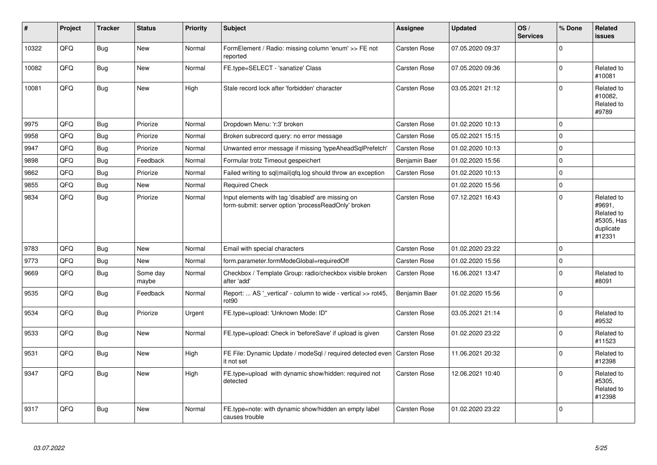| #     | Project | <b>Tracker</b> | <b>Status</b>     | <b>Priority</b> | <b>Subject</b>                                                                                           | Assignee            | <b>Updated</b>   | OS/<br><b>Services</b> | % Done      | Related<br><b>issues</b>                                                |
|-------|---------|----------------|-------------------|-----------------|----------------------------------------------------------------------------------------------------------|---------------------|------------------|------------------------|-------------|-------------------------------------------------------------------------|
| 10322 | QFQ     | <b>Bug</b>     | <b>New</b>        | Normal          | FormElement / Radio: missing column 'enum' >> FE not<br>reported                                         | Carsten Rose        | 07.05.2020 09:37 |                        | $\Omega$    |                                                                         |
| 10082 | QFQ     | Bug            | <b>New</b>        | Normal          | FE.type=SELECT - 'sanatize' Class                                                                        | Carsten Rose        | 07.05.2020 09:36 |                        | $\mathbf 0$ | Related to<br>#10081                                                    |
| 10081 | QFQ     | Bug            | <b>New</b>        | High            | Stale record lock after 'forbidden' character                                                            | <b>Carsten Rose</b> | 03.05.2021 21:12 |                        | $\mathbf 0$ | Related to<br>#10082.<br>Related to<br>#9789                            |
| 9975  | QFQ     | Bug            | Priorize          | Normal          | Dropdown Menu: 'r:3' broken                                                                              | Carsten Rose        | 01.02.2020 10:13 |                        | $\mathbf 0$ |                                                                         |
| 9958  | QFQ     | <b>Bug</b>     | Priorize          | Normal          | Broken subrecord query: no error message                                                                 | <b>Carsten Rose</b> | 05.02.2021 15:15 |                        | $\mathbf 0$ |                                                                         |
| 9947  | QFQ     | <b>Bug</b>     | Priorize          | Normal          | Unwanted error message if missing 'typeAheadSqlPrefetch'                                                 | Carsten Rose        | 01.02.2020 10:13 |                        | $\Omega$    |                                                                         |
| 9898  | QFQ     | <b>Bug</b>     | Feedback          | Normal          | Formular trotz Timeout gespeichert                                                                       | Benjamin Baer       | 01.02.2020 15:56 |                        | $\mathbf 0$ |                                                                         |
| 9862  | QFQ     | Bug            | Priorize          | Normal          | Failed writing to sql mail qfq.log should throw an exception                                             | <b>Carsten Rose</b> | 01.02.2020 10:13 |                        | $\mathbf 0$ |                                                                         |
| 9855  | QFQ     | <b>Bug</b>     | <b>New</b>        | Normal          | <b>Required Check</b>                                                                                    |                     | 01.02.2020 15:56 |                        | $\pmb{0}$   |                                                                         |
| 9834  | QFQ     | Bug            | Priorize          | Normal          | Input elements with tag 'disabled' are missing on<br>form-submit: server option 'processReadOnly' broken | Carsten Rose        | 07.12.2021 16:43 |                        | $\Omega$    | Related to<br>#9691,<br>Related to<br>#5305, Has<br>duplicate<br>#12331 |
| 9783  | QFQ     | <b>Bug</b>     | <b>New</b>        | Normal          | Email with special characters                                                                            | Carsten Rose        | 01.02.2020 23:22 |                        | $\Omega$    |                                                                         |
| 9773  | QFQ     | <b>Bug</b>     | New               | Normal          | form.parameter.formModeGlobal=requiredOff                                                                | Carsten Rose        | 01.02.2020 15:56 |                        | $\pmb{0}$   |                                                                         |
| 9669  | QFQ     | <b>Bug</b>     | Some day<br>maybe | Normal          | Checkbox / Template Group: radio/checkbox visible broken<br>after 'add'                                  | <b>Carsten Rose</b> | 16.06.2021 13:47 |                        | $\mathbf 0$ | Related to<br>#8091                                                     |
| 9535  | QFQ     | Bug            | Feedback          | Normal          | Report:  AS ' vertical' - column to wide - vertical >> rot45,<br>rot <sub>90</sub>                       | Benjamin Baer       | 01.02.2020 15:56 |                        | $\mathbf 0$ |                                                                         |
| 9534  | QFQ     | Bug            | Priorize          | Urgent          | FE.type=upload: 'Unknown Mode: ID"                                                                       | Carsten Rose        | 03.05.2021 21:14 |                        | $\mathbf 0$ | Related to<br>#9532                                                     |
| 9533  | QFQ     | <b>Bug</b>     | <b>New</b>        | Normal          | FE.type=upload: Check in 'beforeSave' if upload is given                                                 | Carsten Rose        | 01.02.2020 23:22 |                        | $\Omega$    | Related to<br>#11523                                                    |
| 9531  | QFQ     | Bug            | <b>New</b>        | High            | FE File: Dynamic Update / modeSql / required detected even<br>it not set                                 | Carsten Rose        | 11.06.2021 20:32 |                        | $\Omega$    | Related to<br>#12398                                                    |
| 9347  | QFQ     | Bug            | <b>New</b>        | High            | FE.type=upload with dynamic show/hidden: required not<br>detected                                        | Carsten Rose        | 12.06.2021 10:40 |                        | $\mathbf 0$ | Related to<br>#5305,<br>Related to<br>#12398                            |
| 9317  | QFQ     | Bug            | New               | Normal          | FE.type=note: with dynamic show/hidden an empty label<br>causes trouble                                  | <b>Carsten Rose</b> | 01.02.2020 23:22 |                        | $\mathbf 0$ |                                                                         |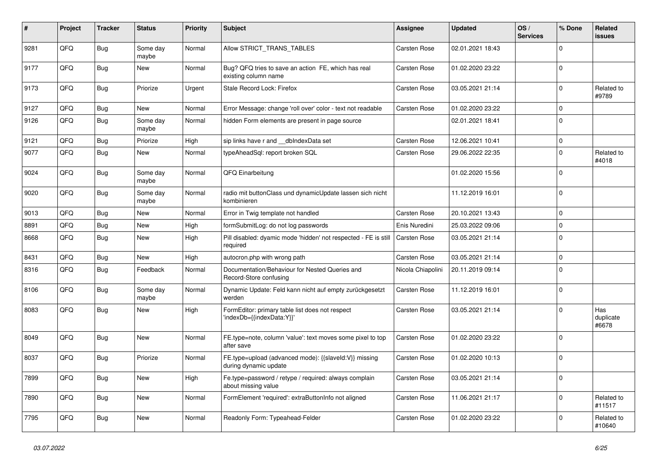| #    | Project | <b>Tracker</b> | <b>Status</b>     | <b>Priority</b> | <b>Subject</b>                                                                 | Assignee            | <b>Updated</b>   | OS/<br><b>Services</b> | % Done      | Related<br><b>issues</b>  |
|------|---------|----------------|-------------------|-----------------|--------------------------------------------------------------------------------|---------------------|------------------|------------------------|-------------|---------------------------|
| 9281 | QFQ     | <b>Bug</b>     | Some day<br>maybe | Normal          | Allow STRICT_TRANS_TABLES                                                      | Carsten Rose        | 02.01.2021 18:43 |                        | $\Omega$    |                           |
| 9177 | QFQ     | <b>Bug</b>     | <b>New</b>        | Normal          | Bug? QFQ tries to save an action FE, which has real<br>existing column name    | <b>Carsten Rose</b> | 01.02.2020 23:22 |                        | $\Omega$    |                           |
| 9173 | QFQ     | Bug            | Priorize          | Urgent          | Stale Record Lock: Firefox                                                     | <b>Carsten Rose</b> | 03.05.2021 21:14 |                        | $\Omega$    | Related to<br>#9789       |
| 9127 | QFQ     | Bug            | <b>New</b>        | Normal          | Error Message: change 'roll over' color - text not readable                    | <b>Carsten Rose</b> | 01.02.2020 23:22 |                        | $\mathbf 0$ |                           |
| 9126 | QFQ     | <b>Bug</b>     | Some day<br>maybe | Normal          | hidden Form elements are present in page source                                |                     | 02.01.2021 18:41 |                        | $\Omega$    |                           |
| 9121 | QFQ     | <b>Bug</b>     | Priorize          | High            | sip links have r and dblndexData set                                           | <b>Carsten Rose</b> | 12.06.2021 10:41 |                        | $\mathbf 0$ |                           |
| 9077 | QFQ     | Bug            | <b>New</b>        | Normal          | typeAheadSql: report broken SQL                                                | <b>Carsten Rose</b> | 29.06.2022 22:35 |                        | $\Omega$    | Related to<br>#4018       |
| 9024 | QFQ     | Bug            | Some day<br>maybe | Normal          | QFQ Einarbeitung                                                               |                     | 01.02.2020 15:56 |                        | $\Omega$    |                           |
| 9020 | QFQ     | Bug            | Some day<br>maybe | Normal          | radio mit buttonClass und dynamicUpdate lassen sich nicht<br>kombinieren       |                     | 11.12.2019 16:01 |                        | $\mathbf 0$ |                           |
| 9013 | QFQ     | Bug            | New               | Normal          | Error in Twig template not handled                                             | <b>Carsten Rose</b> | 20.10.2021 13:43 |                        | $\Omega$    |                           |
| 8891 | QFQ     | <b>Bug</b>     | <b>New</b>        | High            | formSubmitLog: do not log passwords                                            | Enis Nuredini       | 25.03.2022 09:06 |                        | $\mathbf 0$ |                           |
| 8668 | QFQ     | <b>Bug</b>     | <b>New</b>        | High            | Pill disabled: dyamic mode 'hidden' not respected - FE is still<br>required    | Carsten Rose        | 03.05.2021 21:14 |                        | $\Omega$    |                           |
| 8431 | QFQ     | Bug            | New               | High            | autocron.php with wrong path                                                   | <b>Carsten Rose</b> | 03.05.2021 21:14 |                        | $\mathbf 0$ |                           |
| 8316 | QFQ     | Bug            | Feedback          | Normal          | Documentation/Behaviour for Nested Queries and<br>Record-Store confusing       | Nicola Chiapolini   | 20.11.2019 09:14 |                        | $\mathbf 0$ |                           |
| 8106 | QFQ     | Bug            | Some day<br>maybe | Normal          | Dynamic Update: Feld kann nicht auf empty zurückgesetzt<br>werden              | <b>Carsten Rose</b> | 11.12.2019 16:01 |                        | $\Omega$    |                           |
| 8083 | QFQ     | <b>Bug</b>     | <b>New</b>        | High            | FormEditor: primary table list does not respect<br>'indexDb={{indexData:Y}}'   | Carsten Rose        | 03.05.2021 21:14 |                        | $\Omega$    | Has<br>duplicate<br>#6678 |
| 8049 | QFQ     | Bug            | <b>New</b>        | Normal          | FE.type=note, column 'value': text moves some pixel to top<br>after save       | <b>Carsten Rose</b> | 01.02.2020 23:22 |                        | $\mathbf 0$ |                           |
| 8037 | QFQ     | <b>Bug</b>     | Priorize          | Normal          | FE.type=upload (advanced mode): {{slaveId:V}} missing<br>during dynamic update | <b>Carsten Rose</b> | 01.02.2020 10:13 |                        | $\mathbf 0$ |                           |
| 7899 | QFQ     | <b>Bug</b>     | New               | High            | Fe.type=password / retype / required: always complain<br>about missing value   | <b>Carsten Rose</b> | 03.05.2021 21:14 |                        | $\Omega$    |                           |
| 7890 | QFQ     | Bug            | New               | Normal          | FormElement 'required': extraButtonInfo not aligned                            | Carsten Rose        | 11.06.2021 21:17 |                        | $\Omega$    | Related to<br>#11517      |
| 7795 | QFQ     | <b>Bug</b>     | <b>New</b>        | Normal          | Readonly Form: Typeahead-Felder                                                | <b>Carsten Rose</b> | 01.02.2020 23:22 |                        | $\Omega$    | Related to<br>#10640      |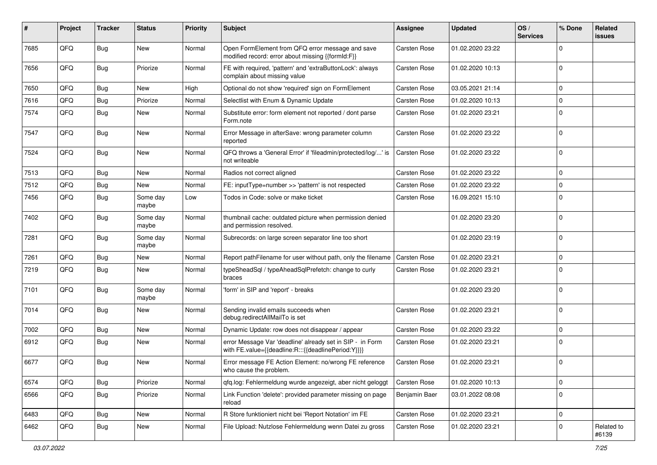| #    | Project | <b>Tracker</b> | <b>Status</b>     | <b>Priority</b> | Subject                                                                                                          | Assignee            | <b>Updated</b>   | OS/<br><b>Services</b> | % Done      | Related<br><b>issues</b> |
|------|---------|----------------|-------------------|-----------------|------------------------------------------------------------------------------------------------------------------|---------------------|------------------|------------------------|-------------|--------------------------|
| 7685 | QFQ     | Bug            | New               | Normal          | Open FormElement from QFQ error message and save<br>modified record: error about missing {{formId:F}}            | <b>Carsten Rose</b> | 01.02.2020 23:22 |                        | $\mathbf 0$ |                          |
| 7656 | QFQ     | Bug            | Priorize          | Normal          | FE with required, 'pattern' and 'extraButtonLock': always<br>complain about missing value                        | Carsten Rose        | 01.02.2020 10:13 |                        | $\mathbf 0$ |                          |
| 7650 | QFQ     | Bug            | New               | High            | Optional do not show 'required' sign on FormElement                                                              | Carsten Rose        | 03.05.2021 21:14 |                        | $\mathbf 0$ |                          |
| 7616 | QFQ     | Bug            | Priorize          | Normal          | Selectlist with Enum & Dynamic Update                                                                            | Carsten Rose        | 01.02.2020 10:13 |                        | $\mathbf 0$ |                          |
| 7574 | QFQ     | Bug            | New               | Normal          | Substitute error: form element not reported / dont parse<br>Form.note                                            | Carsten Rose        | 01.02.2020 23:21 |                        | $\mathbf 0$ |                          |
| 7547 | QFQ     | Bug            | <b>New</b>        | Normal          | Error Message in afterSave: wrong parameter column<br>reported                                                   | Carsten Rose        | 01.02.2020 23:22 |                        | $\mathbf 0$ |                          |
| 7524 | QFQ     | Bug            | <b>New</b>        | Normal          | QFQ throws a 'General Error' if 'fileadmin/protected/log/' is<br>not writeable                                   | Carsten Rose        | 01.02.2020 23:22 |                        | $\mathbf 0$ |                          |
| 7513 | QFQ     | <b>Bug</b>     | <b>New</b>        | Normal          | Radios not correct aligned                                                                                       | Carsten Rose        | 01.02.2020 23:22 |                        | $\mathbf 0$ |                          |
| 7512 | QFQ     | <b>Bug</b>     | New               | Normal          | FE: inputType=number >> 'pattern' is not respected                                                               | Carsten Rose        | 01.02.2020 23:22 |                        | $\mathbf 0$ |                          |
| 7456 | QFQ     | Bug            | Some day<br>maybe | Low             | Todos in Code: solve or make ticket                                                                              | Carsten Rose        | 16.09.2021 15:10 |                        | $\mathbf 0$ |                          |
| 7402 | QFQ     | <b>Bug</b>     | Some day<br>maybe | Normal          | thumbnail cache: outdated picture when permission denied<br>and permission resolved.                             |                     | 01.02.2020 23:20 |                        | $\mathbf 0$ |                          |
| 7281 | QFQ     | <b>Bug</b>     | Some day<br>maybe | Normal          | Subrecords: on large screen separator line too short                                                             |                     | 01.02.2020 23:19 |                        | $\mathbf 0$ |                          |
| 7261 | QFQ     | <b>Bug</b>     | <b>New</b>        | Normal          | Report pathFilename for user without path, only the filename                                                     | <b>Carsten Rose</b> | 01.02.2020 23:21 |                        | $\mathbf 0$ |                          |
| 7219 | QFQ     | Bug            | <b>New</b>        | Normal          | typeSheadSql / typeAheadSqlPrefetch: change to curly<br>braces                                                   | Carsten Rose        | 01.02.2020 23:21 |                        | $\Omega$    |                          |
| 7101 | QFQ     | Bug            | Some day<br>maybe | Normal          | 'form' in SIP and 'report' - breaks                                                                              |                     | 01.02.2020 23:20 |                        | $\mathbf 0$ |                          |
| 7014 | QFQ     | <b>Bug</b>     | <b>New</b>        | Normal          | Sending invalid emails succeeds when<br>debug.redirectAllMailTo is set                                           | <b>Carsten Rose</b> | 01.02.2020 23:21 |                        | $\mathbf 0$ |                          |
| 7002 | QFQ     | Bug            | <b>New</b>        | Normal          | Dynamic Update: row does not disappear / appear                                                                  | Carsten Rose        | 01.02.2020 23:22 |                        | $\mathbf 0$ |                          |
| 6912 | QFQ     | Bug            | <b>New</b>        | Normal          | error Message Var 'deadline' already set in SIP - in Form<br>with FE.value={{deadline:R:::{{deadlinePeriod:Y}}}} | Carsten Rose        | 01.02.2020 23:21 |                        | $\mathbf 0$ |                          |
| 6677 | QFQ     | <b>Bug</b>     | <b>New</b>        | Normal          | Error message FE Action Element: no/wrong FE reference<br>who cause the problem.                                 | Carsten Rose        | 01.02.2020 23:21 |                        | $\mathbf 0$ |                          |
| 6574 | QFQ     | <b>Bug</b>     | Priorize          | Normal          | qfq.log: Fehlermeldung wurde angezeigt, aber nicht geloggt                                                       | Carsten Rose        | 01.02.2020 10:13 |                        | $\mathbf 0$ |                          |
| 6566 | QFQ     | <b>Bug</b>     | Priorize          | Normal          | Link Function 'delete': provided parameter missing on page<br>reload                                             | Benjamin Baer       | 03.01.2022 08:08 |                        | $\mathbf 0$ |                          |
| 6483 | QFQ     | <b>Bug</b>     | New               | Normal          | R Store funktioniert nicht bei 'Report Notation' im FE                                                           | Carsten Rose        | 01.02.2020 23:21 |                        | $\mathsf 0$ |                          |
| 6462 | QFQ     | <b>Bug</b>     | New               | Normal          | File Upload: Nutzlose Fehlermeldung wenn Datei zu gross                                                          | Carsten Rose        | 01.02.2020 23:21 |                        | $\mathbf 0$ | Related to<br>#6139      |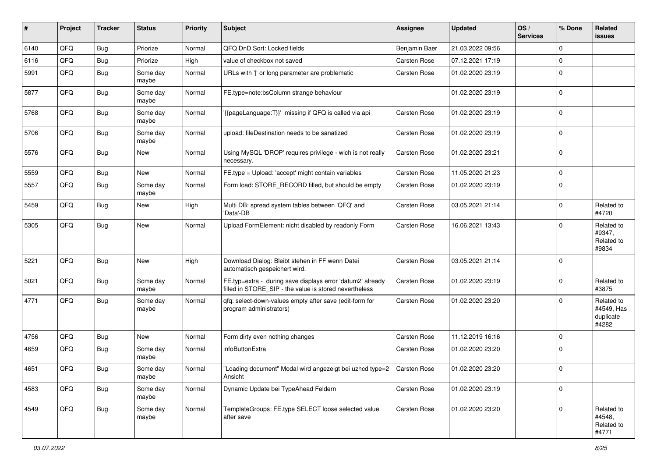| ∦    | Project | <b>Tracker</b> | <b>Status</b>     | <b>Priority</b> | <b>Subject</b>                                                                                                       | Assignee            | <b>Updated</b>   | OS/<br><b>Services</b> | % Done      | Related<br><b>issues</b>                       |
|------|---------|----------------|-------------------|-----------------|----------------------------------------------------------------------------------------------------------------------|---------------------|------------------|------------------------|-------------|------------------------------------------------|
| 6140 | QFQ     | Bug            | Priorize          | Normal          | QFQ DnD Sort: Locked fields                                                                                          | Benjamin Baer       | 21.03.2022 09:56 |                        | $\mathbf 0$ |                                                |
| 6116 | QFQ     | Bug            | Priorize          | High            | value of checkbox not saved                                                                                          | Carsten Rose        | 07.12.2021 17:19 |                        | $\mathbf 0$ |                                                |
| 5991 | QFQ     | <b>Bug</b>     | Some day<br>maybe | Normal          | URLs with ' ' or long parameter are problematic                                                                      | Carsten Rose        | 01.02.2020 23:19 |                        | $\mathbf 0$ |                                                |
| 5877 | QFQ     | <b>Bug</b>     | Some day<br>maybe | Normal          | FE.type=note:bsColumn strange behaviour                                                                              |                     | 01.02.2020 23:19 |                        | $\mathbf 0$ |                                                |
| 5768 | QFQ     | Bug            | Some day<br>maybe | Normal          | '{{pageLanguage:T}}' missing if QFQ is called via api                                                                | Carsten Rose        | 01.02.2020 23:19 |                        | $\mathbf 0$ |                                                |
| 5706 | QFQ     | Bug            | Some day<br>maybe | Normal          | upload: fileDestination needs to be sanatized                                                                        | <b>Carsten Rose</b> | 01.02.2020 23:19 |                        | $\mathbf 0$ |                                                |
| 5576 | QFQ     | Bug            | New               | Normal          | Using MySQL 'DROP' requires privilege - wich is not really<br>necessary.                                             | Carsten Rose        | 01.02.2020 23:21 |                        | $\mathbf 0$ |                                                |
| 5559 | QFQ     | Bug            | <b>New</b>        | Normal          | FE.type = Upload: 'accept' might contain variables                                                                   | Carsten Rose        | 11.05.2020 21:23 |                        | $\mathbf 0$ |                                                |
| 5557 | QFQ     | Bug            | Some day<br>maybe | Normal          | Form load: STORE_RECORD filled, but should be empty                                                                  | Carsten Rose        | 01.02.2020 23:19 |                        | $\mathbf 0$ |                                                |
| 5459 | QFQ     | Bug            | New               | High            | Multi DB: spread system tables between 'QFQ' and<br>'Data'-DB                                                        | <b>Carsten Rose</b> | 03.05.2021 21:14 |                        | $\mathbf 0$ | Related to<br>#4720                            |
| 5305 | QFQ     | <b>Bug</b>     | New               | Normal          | Upload FormElement: nicht disabled by readonly Form                                                                  | Carsten Rose        | 16.06.2021 13:43 |                        | $\mathbf 0$ | Related to<br>#9347,<br>Related to<br>#9834    |
| 5221 | QFQ     | <b>Bug</b>     | <b>New</b>        | High            | Download Dialog: Bleibt stehen in FF wenn Datei<br>automatisch gespeichert wird.                                     | <b>Carsten Rose</b> | 03.05.2021 21:14 |                        | $\mathbf 0$ |                                                |
| 5021 | QFQ     | <b>Bug</b>     | Some day<br>maybe | Normal          | FE.typ=extra - during save displays error 'datum2' already<br>filled in STORE_SIP - the value is stored nevertheless | Carsten Rose        | 01.02.2020 23:19 |                        | $\mathbf 0$ | Related to<br>#3875                            |
| 4771 | QFQ     | <b>Bug</b>     | Some day<br>maybe | Normal          | qfq: select-down-values empty after save (edit-form for<br>program administrators)                                   | <b>Carsten Rose</b> | 01.02.2020 23:20 |                        | $\mathbf 0$ | Related to<br>#4549, Has<br>duplicate<br>#4282 |
| 4756 | QFQ     | <b>Bug</b>     | <b>New</b>        | Normal          | Form dirty even nothing changes                                                                                      | Carsten Rose        | 11.12.2019 16:16 |                        | $\mathbf 0$ |                                                |
| 4659 | QFQ     | Bug            | Some day<br>maybe | Normal          | infoButtonExtra                                                                                                      | Carsten Rose        | 01.02.2020 23:20 |                        | $\mathbf 0$ |                                                |
| 4651 | QFQ     | Bug            | Some day<br>maybe | Normal          | "Loading document" Modal wird angezeigt bei uzhcd type=2   Carsten Rose<br>Ansicht                                   |                     | 01.02.2020 23:20 |                        | $\mathbf 0$ |                                                |
| 4583 | QFQ     | <b>Bug</b>     | Some day<br>maybe | Normal          | Dynamic Update bei TypeAhead Feldern                                                                                 | Carsten Rose        | 01.02.2020 23:19 |                        | $\mathbf 0$ |                                                |
| 4549 | QFG     | Bug            | Some day<br>maybe | Normal          | TemplateGroups: FE.type SELECT loose selected value<br>after save                                                    | Carsten Rose        | 01.02.2020 23:20 |                        | $\mathbf 0$ | Related to<br>#4548,<br>Related to<br>#4771    |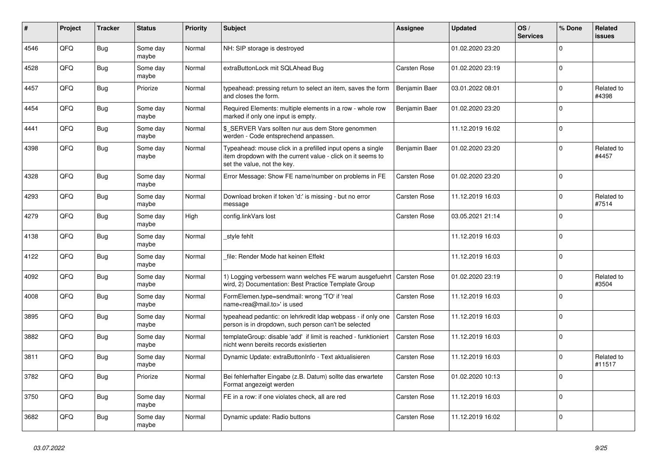| #    | Project | <b>Tracker</b> | <b>Status</b>     | <b>Priority</b> | <b>Subject</b>                                                                                                                                           | Assignee            | <b>Updated</b>   | OS/<br><b>Services</b> | % Done      | Related<br><b>issues</b> |
|------|---------|----------------|-------------------|-----------------|----------------------------------------------------------------------------------------------------------------------------------------------------------|---------------------|------------------|------------------------|-------------|--------------------------|
| 4546 | QFQ     | <b>Bug</b>     | Some day<br>maybe | Normal          | NH: SIP storage is destroyed                                                                                                                             |                     | 01.02.2020 23:20 |                        | $\Omega$    |                          |
| 4528 | QFQ     | Bug            | Some day<br>maybe | Normal          | extraButtonLock mit SQLAhead Bug                                                                                                                         | Carsten Rose        | 01.02.2020 23:19 |                        | $\mathbf 0$ |                          |
| 4457 | QFQ     | <b>Bug</b>     | Priorize          | Normal          | typeahead: pressing return to select an item, saves the form<br>and closes the form.                                                                     | Benjamin Baer       | 03.01.2022 08:01 |                        | $\Omega$    | Related to<br>#4398      |
| 4454 | QFQ     | Bug            | Some day<br>maybe | Normal          | Required Elements: multiple elements in a row - whole row<br>marked if only one input is empty.                                                          | Benjamin Baer       | 01.02.2020 23:20 |                        | $\mathbf 0$ |                          |
| 4441 | QFQ     | <b>Bug</b>     | Some day<br>maybe | Normal          | \$_SERVER Vars sollten nur aus dem Store genommen<br>werden - Code entsprechend anpassen.                                                                |                     | 11.12.2019 16:02 |                        | $\mathbf 0$ |                          |
| 4398 | QFQ     | Bug            | Some day<br>maybe | Normal          | Typeahead: mouse click in a prefilled input opens a single<br>item dropdown with the current value - click on it seems to<br>set the value, not the key. | Benjamin Baer       | 01.02.2020 23:20 |                        | $\Omega$    | Related to<br>#4457      |
| 4328 | QFQ     | <b>Bug</b>     | Some day<br>maybe | Normal          | Error Message: Show FE name/number on problems in FE                                                                                                     | Carsten Rose        | 01.02.2020 23:20 |                        | $\Omega$    |                          |
| 4293 | QFQ     | Bug            | Some day<br>maybe | Normal          | Download broken if token 'd:' is missing - but no error<br>message                                                                                       | Carsten Rose        | 11.12.2019 16:03 |                        | $\mathbf 0$ | Related to<br>#7514      |
| 4279 | QFQ     | <b>Bug</b>     | Some day<br>maybe | High            | config.linkVars lost                                                                                                                                     | <b>Carsten Rose</b> | 03.05.2021 21:14 |                        | $\Omega$    |                          |
| 4138 | QFQ     | <b>Bug</b>     | Some day<br>maybe | Normal          | style fehlt                                                                                                                                              |                     | 11.12.2019 16:03 |                        | $\mathbf 0$ |                          |
| 4122 | QFQ     | <b>Bug</b>     | Some day<br>maybe | Normal          | file: Render Mode hat keinen Effekt                                                                                                                      |                     | 11.12.2019 16:03 |                        | $\Omega$    |                          |
| 4092 | QFQ     | <b>Bug</b>     | Some day<br>maybe | Normal          | 1) Logging verbessern wann welches FE warum ausgefuehrt   Carsten Rose<br>wird, 2) Documentation: Best Practice Template Group                           |                     | 01.02.2020 23:19 |                        | $\mathbf 0$ | Related to<br>#3504      |
| 4008 | QFQ     | Bug            | Some day<br>maybe | Normal          | FormElemen.type=sendmail: wrong 'TO' if 'real<br>name <rea@mail.to>' is used</rea@mail.to>                                                               | Carsten Rose        | 11.12.2019 16:03 |                        | $\Omega$    |                          |
| 3895 | QFQ     | <b>Bug</b>     | Some day<br>maybe | Normal          | typeahead pedantic: on lehrkredit Idap webpass - if only one<br>person is in dropdown, such person can't be selected                                     | Carsten Rose        | 11.12.2019 16:03 |                        | $\Omega$    |                          |
| 3882 | QFQ     | <b>Bug</b>     | Some day<br>maybe | Normal          | templateGroup: disable 'add' if limit is reached - funktioniert<br>nicht wenn bereits records existierten                                                | <b>Carsten Rose</b> | 11.12.2019 16:03 |                        | $\Omega$    |                          |
| 3811 | QFQ     | Bug            | Some day<br>maybe | Normal          | Dynamic Update: extraButtonInfo - Text aktualisieren                                                                                                     | <b>Carsten Rose</b> | 11.12.2019 16:03 |                        | $\mathbf 0$ | Related to<br>#11517     |
| 3782 | QFQ     | <b>Bug</b>     | Priorize          | Normal          | Bei fehlerhafter Eingabe (z.B. Datum) sollte das erwartete<br>Format angezeigt werden                                                                    | <b>Carsten Rose</b> | 01.02.2020 10:13 |                        | $\Omega$    |                          |
| 3750 | QFQ     | <b>Bug</b>     | Some day<br>maybe | Normal          | FE in a row: if one violates check, all are red                                                                                                          | Carsten Rose        | 11.12.2019 16:03 |                        | $\Omega$    |                          |
| 3682 | QFQ     | Bug            | Some day<br>maybe | Normal          | Dynamic update: Radio buttons                                                                                                                            | <b>Carsten Rose</b> | 11.12.2019 16:02 |                        | $\Omega$    |                          |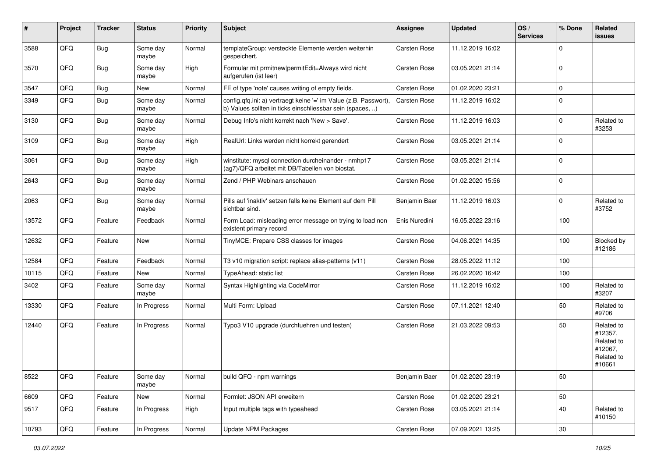| #     | Project | <b>Tracker</b> | <b>Status</b>     | <b>Priority</b> | Subject                                                                                                                       | <b>Assignee</b>     | <b>Updated</b>   | OS/<br><b>Services</b> | % Done      | Related<br><b>issues</b>                                               |
|-------|---------|----------------|-------------------|-----------------|-------------------------------------------------------------------------------------------------------------------------------|---------------------|------------------|------------------------|-------------|------------------------------------------------------------------------|
| 3588  | QFQ     | <b>Bug</b>     | Some day<br>maybe | Normal          | templateGroup: versteckte Elemente werden weiterhin<br>gespeichert.                                                           | <b>Carsten Rose</b> | 11.12.2019 16:02 |                        | $\mathbf 0$ |                                                                        |
| 3570  | QFQ     | Bug            | Some day<br>maybe | High            | Formular mit prmitnew permitEdit=Always wird nicht<br>aufgerufen (ist leer)                                                   | <b>Carsten Rose</b> | 03.05.2021 21:14 |                        | $\mathbf 0$ |                                                                        |
| 3547  | QFQ     | Bug            | <b>New</b>        | Normal          | FE of type 'note' causes writing of empty fields.                                                                             | Carsten Rose        | 01.02.2020 23:21 |                        | $\mathbf 0$ |                                                                        |
| 3349  | QFQ     | <b>Bug</b>     | Some day<br>maybe | Normal          | config.qfq.ini: a) vertraegt keine '=' im Value (z.B. Passwort),<br>b) Values sollten in ticks einschliessbar sein (spaces, ) | Carsten Rose        | 11.12.2019 16:02 |                        | $\mathbf 0$ |                                                                        |
| 3130  | QFQ     | Bug            | Some day<br>maybe | Normal          | Debug Info's nicht korrekt nach 'New > Save'.                                                                                 | <b>Carsten Rose</b> | 11.12.2019 16:03 |                        | $\mathbf 0$ | Related to<br>#3253                                                    |
| 3109  | QFQ     | Bug            | Some day<br>maybe | High            | RealUrl: Links werden nicht korrekt gerendert                                                                                 | Carsten Rose        | 03.05.2021 21:14 |                        | $\mathbf 0$ |                                                                        |
| 3061  | QFQ     | Bug            | Some day<br>maybe | High            | winstitute: mysql connection durcheinander - nmhp17<br>(ag7)/QFQ arbeitet mit DB/Tabellen von biostat.                        | <b>Carsten Rose</b> | 03.05.2021 21:14 |                        | $\mathbf 0$ |                                                                        |
| 2643  | QFQ     | Bug            | Some day<br>maybe | Normal          | Zend / PHP Webinars anschauen                                                                                                 | <b>Carsten Rose</b> | 01.02.2020 15:56 |                        | $\mathbf 0$ |                                                                        |
| 2063  | QFQ     | Bug            | Some day<br>maybe | Normal          | Pills auf 'inaktiv' setzen falls keine Element auf dem Pill<br>sichtbar sind.                                                 | Benjamin Baer       | 11.12.2019 16:03 |                        | $\mathbf 0$ | Related to<br>#3752                                                    |
| 13572 | QFQ     | Feature        | Feedback          | Normal          | Form Load: misleading error message on trying to load non<br>existent primary record                                          | Enis Nuredini       | 16.05.2022 23:16 |                        | 100         |                                                                        |
| 12632 | QFQ     | Feature        | New               | Normal          | TinyMCE: Prepare CSS classes for images                                                                                       | Carsten Rose        | 04.06.2021 14:35 |                        | 100         | Blocked by<br>#12186                                                   |
| 12584 | QFQ     | Feature        | Feedback          | Normal          | T3 v10 migration script: replace alias-patterns (v11)                                                                         | Carsten Rose        | 28.05.2022 11:12 |                        | 100         |                                                                        |
| 10115 | QFQ     | Feature        | New               | Normal          | TypeAhead: static list                                                                                                        | <b>Carsten Rose</b> | 26.02.2020 16:42 |                        | 100         |                                                                        |
| 3402  | QFQ     | Feature        | Some day<br>maybe | Normal          | Syntax Highlighting via CodeMirror                                                                                            | Carsten Rose        | 11.12.2019 16:02 |                        | 100         | Related to<br>#3207                                                    |
| 13330 | QFQ     | Feature        | In Progress       | Normal          | Multi Form: Upload                                                                                                            | Carsten Rose        | 07.11.2021 12:40 |                        | 50          | Related to<br>#9706                                                    |
| 12440 | QFQ     | Feature        | In Progress       | Normal          | Typo3 V10 upgrade (durchfuehren und testen)                                                                                   | <b>Carsten Rose</b> | 21.03.2022 09:53 |                        | 50          | Related to<br>#12357,<br>Related to<br>#12067,<br>Related to<br>#10661 |
| 8522  | QFQ     | Feature        | Some day<br>maybe | Normal          | build QFQ - npm warnings                                                                                                      | Benjamin Baer       | 01.02.2020 23:19 |                        | 50          |                                                                        |
| 6609  | QFQ     | Feature        | New               | Normal          | Formlet: JSON API erweitern                                                                                                   | Carsten Rose        | 01.02.2020 23:21 |                        | 50          |                                                                        |
| 9517  | QFQ     | Feature        | In Progress       | High            | Input multiple tags with typeahead                                                                                            | Carsten Rose        | 03.05.2021 21:14 |                        | 40          | Related to<br>#10150                                                   |
| 10793 | QFG     | Feature        | In Progress       | Normal          | <b>Update NPM Packages</b>                                                                                                    | Carsten Rose        | 07.09.2021 13:25 |                        | $30\,$      |                                                                        |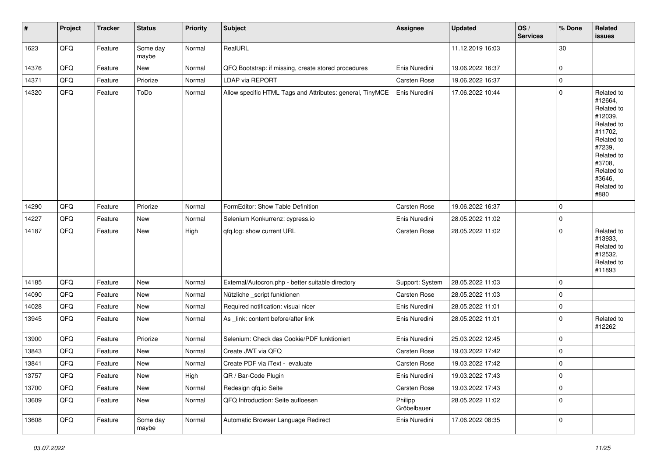| $\vert$ # | Project | <b>Tracker</b> | <b>Status</b>     | <b>Priority</b> | <b>Subject</b>                                            | Assignee               | <b>Updated</b>   | OS/<br><b>Services</b> | % Done      | Related<br>issues                                                                                                                                                     |
|-----------|---------|----------------|-------------------|-----------------|-----------------------------------------------------------|------------------------|------------------|------------------------|-------------|-----------------------------------------------------------------------------------------------------------------------------------------------------------------------|
| 1623      | QFQ     | Feature        | Some day<br>maybe | Normal          | RealURL                                                   |                        | 11.12.2019 16:03 |                        | 30          |                                                                                                                                                                       |
| 14376     | QFQ     | Feature        | New               | Normal          | QFQ Bootstrap: if missing, create stored procedures       | Enis Nuredini          | 19.06.2022 16:37 |                        | $\mathbf 0$ |                                                                                                                                                                       |
| 14371     | QFQ     | Feature        | Priorize          | Normal          | <b>LDAP via REPORT</b>                                    | Carsten Rose           | 19.06.2022 16:37 |                        | 0           |                                                                                                                                                                       |
| 14320     | QFQ     | Feature        | ToDo              | Normal          | Allow specific HTML Tags and Attributes: general, TinyMCE | Enis Nuredini          | 17.06.2022 10:44 |                        | $\pmb{0}$   | Related to<br>#12664,<br>Related to<br>#12039,<br>Related to<br>#11702,<br>Related to<br>#7239,<br>Related to<br>#3708,<br>Related to<br>#3646,<br>Related to<br>#880 |
| 14290     | QFQ     | Feature        | Priorize          | Normal          | FormEditor: Show Table Definition                         | Carsten Rose           | 19.06.2022 16:37 |                        | $\mathbf 0$ |                                                                                                                                                                       |
| 14227     | QFQ     | Feature        | New               | Normal          | Selenium Konkurrenz: cypress.io                           | Enis Nuredini          | 28.05.2022 11:02 |                        | $\mathsf 0$ |                                                                                                                                                                       |
| 14187     | QFQ     | Feature        | <b>New</b>        | High            | qfq.log: show current URL                                 | Carsten Rose           | 28.05.2022 11:02 |                        | $\mathbf 0$ | Related to<br>#13933,<br>Related to<br>#12532,<br>Related to<br>#11893                                                                                                |
| 14185     | QFQ     | Feature        | New               | Normal          | External/Autocron.php - better suitable directory         | Support: System        | 28.05.2022 11:03 |                        | $\mathbf 0$ |                                                                                                                                                                       |
| 14090     | QFQ     | Feature        | New               | Normal          | Nützliche _script funktionen                              | Carsten Rose           | 28.05.2022 11:03 |                        | $\mathbf 0$ |                                                                                                                                                                       |
| 14028     | QFQ     | Feature        | New               | Normal          | Required notification: visual nicer                       | Enis Nuredini          | 28.05.2022 11:01 |                        | 0           |                                                                                                                                                                       |
| 13945     | QFQ     | Feature        | New               | Normal          | As _link: content before/after link                       | Enis Nuredini          | 28.05.2022 11:01 |                        | $\mathbf 0$ | Related to<br>#12262                                                                                                                                                  |
| 13900     | QFQ     | Feature        | Priorize          | Normal          | Selenium: Check das Cookie/PDF funktioniert               | Enis Nuredini          | 25.03.2022 12:45 |                        | $\mathbf 0$ |                                                                                                                                                                       |
| 13843     | QFQ     | Feature        | New               | Normal          | Create JWT via QFQ                                        | Carsten Rose           | 19.03.2022 17:42 |                        | 0           |                                                                                                                                                                       |
| 13841     | QFQ     | Feature        | New               | Normal          | Create PDF via iText - evaluate                           | Carsten Rose           | 19.03.2022 17:42 |                        | $\pmb{0}$   |                                                                                                                                                                       |
| 13757     | QFQ     | Feature        | New               | High            | QR / Bar-Code Plugin                                      | Enis Nuredini          | 19.03.2022 17:43 |                        | 0           |                                                                                                                                                                       |
| 13700     | QFQ     | Feature        | New               | Normal          | Redesign qfq.io Seite                                     | Carsten Rose           | 19.03.2022 17:43 |                        | $\pmb{0}$   |                                                                                                                                                                       |
| 13609     | QFQ     | Feature        | New               | Normal          | QFQ Introduction: Seite aufloesen                         | Philipp<br>Gröbelbauer | 28.05.2022 11:02 |                        | $\pmb{0}$   |                                                                                                                                                                       |
| 13608     | QFQ     | Feature        | Some day<br>maybe | Normal          | Automatic Browser Language Redirect                       | Enis Nuredini          | 17.06.2022 08:35 |                        | $\pmb{0}$   |                                                                                                                                                                       |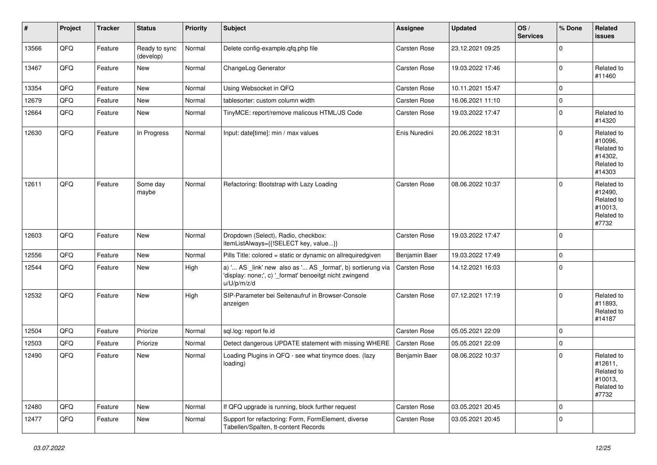| $\vert$ # | Project | <b>Tracker</b> | <b>Status</b>              | <b>Priority</b> | <b>Subject</b>                                                                                                                        | Assignee      | <b>Updated</b>   | OS/<br><b>Services</b> | % Done      | Related<br><b>issues</b>                                               |
|-----------|---------|----------------|----------------------------|-----------------|---------------------------------------------------------------------------------------------------------------------------------------|---------------|------------------|------------------------|-------------|------------------------------------------------------------------------|
| 13566     | QFQ     | Feature        | Ready to sync<br>(develop) | Normal          | Delete config-example.qfq.php file                                                                                                    | Carsten Rose  | 23.12.2021 09:25 |                        | $\mathbf 0$ |                                                                        |
| 13467     | QFQ     | Feature        | New                        | Normal          | ChangeLog Generator                                                                                                                   | Carsten Rose  | 19.03.2022 17:46 |                        | $\mathbf 0$ | Related to<br>#11460                                                   |
| 13354     | QFQ     | Feature        | <b>New</b>                 | Normal          | Using Websocket in QFQ                                                                                                                | Carsten Rose  | 10.11.2021 15:47 |                        | $\mathbf 0$ |                                                                        |
| 12679     | QFQ     | Feature        | <b>New</b>                 | Normal          | tablesorter: custom column width                                                                                                      | Carsten Rose  | 16.06.2021 11:10 |                        | $\mathbf 0$ |                                                                        |
| 12664     | QFQ     | Feature        | <b>New</b>                 | Normal          | TinyMCE: report/remove malicous HTML/JS Code                                                                                          | Carsten Rose  | 19.03.2022 17:47 |                        | $\mathbf 0$ | Related to<br>#14320                                                   |
| 12630     | QFQ     | Feature        | In Progress                | Normal          | Input: date[time]: min / max values                                                                                                   | Enis Nuredini | 20.06.2022 18:31 |                        | $\mathbf 0$ | Related to<br>#10096,<br>Related to<br>#14302,<br>Related to<br>#14303 |
| 12611     | QFQ     | Feature        | Some day<br>maybe          | Normal          | Refactoring: Bootstrap with Lazy Loading                                                                                              | Carsten Rose  | 08.06.2022 10:37 |                        | $\mathbf 0$ | Related to<br>#12490,<br>Related to<br>#10013.<br>Related to<br>#7732  |
| 12603     | QFQ     | Feature        | <b>New</b>                 | Normal          | Dropdown (Select), Radio, checkbox:<br>itemListAlways={{!SELECT key, value}}                                                          | Carsten Rose  | 19.03.2022 17:47 |                        | $\mathbf 0$ |                                                                        |
| 12556     | QFQ     | Feature        | <b>New</b>                 | Normal          | Pills Title: colored = static or dynamic on allrequiredgiven                                                                          | Benjamin Baer | 19.03.2022 17:49 |                        | $\mathbf 0$ |                                                                        |
| 12544     | QFQ     | Feature        | <b>New</b>                 | High            | a) ' AS _link' new also as ' AS _format', b) sortierung via<br>'display: none;', c) '_format' benoeitgt nicht zwingend<br>u/U/p/m/z/d | Carsten Rose  | 14.12.2021 16:03 |                        | $\mathbf 0$ |                                                                        |
| 12532     | QFQ     | Feature        | New                        | High            | SIP-Parameter bei Seitenaufruf in Browser-Console<br>anzeigen                                                                         | Carsten Rose  | 07.12.2021 17:19 |                        | $\mathbf 0$ | Related to<br>#11893,<br>Related to<br>#14187                          |
| 12504     | QFQ     | Feature        | Priorize                   | Normal          | sql.log: report fe.id                                                                                                                 | Carsten Rose  | 05.05.2021 22:09 |                        | $\Omega$    |                                                                        |
| 12503     | QFQ     | Feature        | Priorize                   | Normal          | Detect dangerous UPDATE statement with missing WHERE                                                                                  | Carsten Rose  | 05.05.2021 22:09 |                        | $\mathbf 0$ |                                                                        |
| 12490     | QFQ     | Feature        | New                        | Normal          | Loading Plugins in QFQ - see what tinymce does. (lazy<br>loading)                                                                     | Benjamin Baer | 08.06.2022 10:37 |                        | $\mathbf 0$ | Related to<br>#12611,<br>Related to<br>#10013,<br>Related to<br>#7732  |
| 12480     | QFQ     | Feature        | <b>New</b>                 | Normal          | If QFQ upgrade is running, block further request                                                                                      | Carsten Rose  | 03.05.2021 20:45 |                        | $\mathbf 0$ |                                                                        |
| 12477     | QFQ     | Feature        | New                        | Normal          | Support for refactoring: Form, FormElement, diverse<br>Tabellen/Spalten, tt-content Records                                           | Carsten Rose  | 03.05.2021 20:45 |                        | $\mathbf 0$ |                                                                        |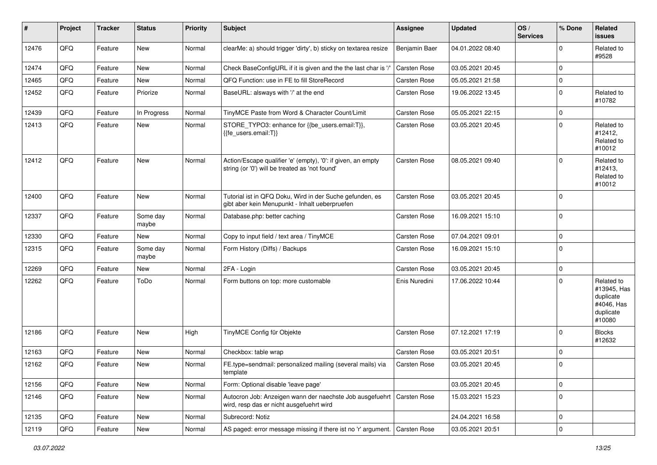| #     | Project | <b>Tracker</b> | <b>Status</b>     | <b>Priority</b> | <b>Subject</b>                                                                                                      | Assignee      | <b>Updated</b>   | OS/<br><b>Services</b> | % Done      | Related<br><b>issues</b>                                                    |
|-------|---------|----------------|-------------------|-----------------|---------------------------------------------------------------------------------------------------------------------|---------------|------------------|------------------------|-------------|-----------------------------------------------------------------------------|
| 12476 | QFQ     | Feature        | New               | Normal          | clearMe: a) should trigger 'dirty', b) sticky on textarea resize                                                    | Benjamin Baer | 04.01.2022 08:40 |                        | $\mathbf 0$ | Related to<br>#9528                                                         |
| 12474 | QFQ     | Feature        | <b>New</b>        | Normal          | Check BaseConfigURL if it is given and the the last char is '/'                                                     | Carsten Rose  | 03.05.2021 20:45 |                        | $\Omega$    |                                                                             |
| 12465 | QFQ     | Feature        | New               | Normal          | QFQ Function: use in FE to fill StoreRecord                                                                         | Carsten Rose  | 05.05.2021 21:58 |                        | $\mathbf 0$ |                                                                             |
| 12452 | QFQ     | Feature        | Priorize          | Normal          | BaseURL: alsways with '/' at the end                                                                                | Carsten Rose  | 19.06.2022 13:45 |                        | $\pmb{0}$   | Related to<br>#10782                                                        |
| 12439 | QFQ     | Feature        | In Progress       | Normal          | TinyMCE Paste from Word & Character Count/Limit                                                                     | Carsten Rose  | 05.05.2021 22:15 |                        | $\pmb{0}$   |                                                                             |
| 12413 | QFQ     | Feature        | New               | Normal          | STORE_TYPO3: enhance for {{be_users.email:T}},<br>{{fe users.email:T}}                                              | Carsten Rose  | 03.05.2021 20:45 |                        | $\mathbf 0$ | Related to<br>#12412.<br>Related to<br>#10012                               |
| 12412 | QFQ     | Feature        | New               | Normal          | Action/Escape qualifier 'e' (empty), '0': if given, an empty<br>string (or '0') will be treated as 'not found'      | Carsten Rose  | 08.05.2021 09:40 |                        | $\Omega$    | Related to<br>#12413,<br>Related to<br>#10012                               |
| 12400 | QFQ     | Feature        | New               | Normal          | Tutorial ist in QFQ Doku, Wird in der Suche gefunden, es<br>gibt aber kein Menupunkt - Inhalt ueberpruefen          | Carsten Rose  | 03.05.2021 20:45 |                        | $\mathbf 0$ |                                                                             |
| 12337 | QFQ     | Feature        | Some day<br>maybe | Normal          | Database.php: better caching                                                                                        | Carsten Rose  | 16.09.2021 15:10 |                        | $\mathbf 0$ |                                                                             |
| 12330 | QFQ     | Feature        | New               | Normal          | Copy to input field / text area / TinyMCE                                                                           | Carsten Rose  | 07.04.2021 09:01 |                        | $\pmb{0}$   |                                                                             |
| 12315 | QFQ     | Feature        | Some day<br>maybe | Normal          | Form History (Diffs) / Backups                                                                                      | Carsten Rose  | 16.09.2021 15:10 |                        | $\mathbf 0$ |                                                                             |
| 12269 | QFQ     | Feature        | <b>New</b>        | Normal          | 2FA - Login                                                                                                         | Carsten Rose  | 03.05.2021 20:45 |                        | $\pmb{0}$   |                                                                             |
| 12262 | QFQ     | Feature        | ToDo              | Normal          | Form buttons on top: more customable                                                                                | Enis Nuredini | 17.06.2022 10:44 |                        | $\mathbf 0$ | Related to<br>#13945, Has<br>duplicate<br>#4046, Has<br>duplicate<br>#10080 |
| 12186 | QFQ     | Feature        | New               | High            | TinyMCE Config für Objekte                                                                                          | Carsten Rose  | 07.12.2021 17:19 |                        | 0           | <b>Blocks</b><br>#12632                                                     |
| 12163 | QFQ     | Feature        | <b>New</b>        | Normal          | Checkbox: table wrap                                                                                                | Carsten Rose  | 03.05.2021 20:51 |                        | $\pmb{0}$   |                                                                             |
| 12162 | QFQ     | Feature        | New               | Normal          | FE.type=sendmail: personalized mailing (several mails) via<br>template                                              | Carsten Rose  | 03.05.2021 20:45 |                        | $\mathbf 0$ |                                                                             |
| 12156 | QFQ     | Feature        | New               | Normal          | Form: Optional disable 'leave page'                                                                                 |               | 03.05.2021 20:45 |                        | $\mathbf 0$ |                                                                             |
| 12146 | QFQ     | Feature        | New               | Normal          | Autocron Job: Anzeigen wann der naechste Job ausgefuehrt   Carsten Rose<br>wird, resp das er nicht ausgefuehrt wird |               | 15.03.2021 15:23 |                        | $\mathbf 0$ |                                                                             |
| 12135 | QFQ     | Feature        | New               | Normal          | Subrecord: Notiz                                                                                                    |               | 24.04.2021 16:58 |                        | $\pmb{0}$   |                                                                             |
| 12119 | QFQ     | Feature        | New               | Normal          | AS paged: error message missing if there ist no 'r' argument.   Carsten Rose                                        |               | 03.05.2021 20:51 |                        | $\pmb{0}$   |                                                                             |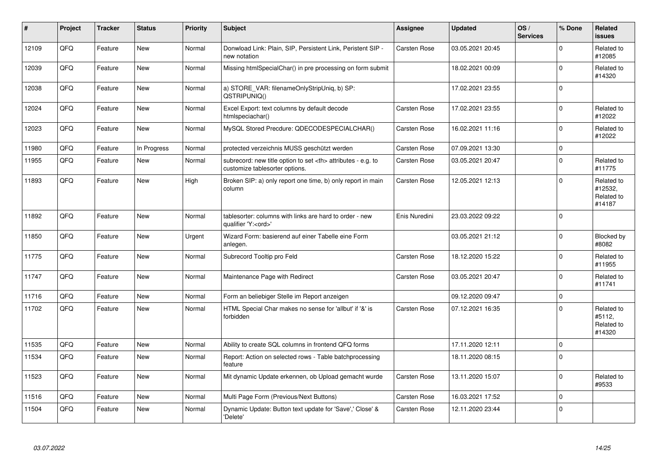| #     | Project | <b>Tracker</b> | <b>Status</b> | <b>Priority</b> | <b>Subject</b>                                                                                       | Assignee                                               | <b>Updated</b>   | OS/<br><b>Services</b> | % Done      | Related<br><b>issues</b>                      |                      |
|-------|---------|----------------|---------------|-----------------|------------------------------------------------------------------------------------------------------|--------------------------------------------------------|------------------|------------------------|-------------|-----------------------------------------------|----------------------|
| 12109 | QFQ     | Feature        | <b>New</b>    | Normal          | Donwload Link: Plain, SIP, Persistent Link, Peristent SIP -<br>new notation                          | Carsten Rose                                           | 03.05.2021 20:45 |                        | $\Omega$    | Related to<br>#12085                          |                      |
| 12039 | QFQ     | Feature        | New           | Normal          | Missing htmlSpecialChar() in pre processing on form submit                                           |                                                        | 18.02.2021 00:09 |                        | $\mathbf 0$ | Related to<br>#14320                          |                      |
| 12038 | QFQ     | Feature        | New           | Normal          | a) STORE VAR: filenameOnlyStripUniq, b) SP:<br>QSTRIPUNIQ()                                          |                                                        | 17.02.2021 23:55 |                        | $\mathbf 0$ |                                               |                      |
| 12024 | QFQ     | Feature        | New           | Normal          | Excel Export: text columns by default decode<br>htmlspeciachar()                                     | Carsten Rose                                           | 17.02.2021 23:55 |                        | $\Omega$    | Related to<br>#12022                          |                      |
| 12023 | QFQ     | Feature        | <b>New</b>    | Normal          | MySQL Stored Precdure: QDECODESPECIALCHAR()                                                          | <b>Carsten Rose</b>                                    | 16.02.2021 11:16 |                        | $\Omega$    | Related to<br>#12022                          |                      |
| 11980 | QFQ     | Feature        | In Progress   | Normal          | protected verzeichnis MUSS geschützt werden                                                          | <b>Carsten Rose</b>                                    | 07.09.2021 13:30 |                        | $\mathbf 0$ |                                               |                      |
| 11955 | QFQ     | Feature        | New           | Normal          | subrecord: new title option to set <th> attributes - e.g. to<br/>customize tablesorter options.</th> | attributes - e.g. to<br>customize tablesorter options. | Carsten Rose     | 03.05.2021 20:47       |             | $\mathbf 0$                                   | Related to<br>#11775 |
| 11893 | QFQ     | Feature        | <b>New</b>    | High            | Broken SIP: a) only report one time, b) only report in main<br>column                                | <b>Carsten Rose</b>                                    | 12.05.2021 12:13 |                        | $\Omega$    | Related to<br>#12532,<br>Related to<br>#14187 |                      |
| 11892 | QFQ     | Feature        | New           | Normal          | tablesorter: columns with links are hard to order - new<br>qualifier 'Y: <ord>'</ord>                | Enis Nuredini                                          | 23.03.2022 09:22 |                        | $\mathbf 0$ |                                               |                      |
| 11850 | QFQ     | Feature        | New           | Urgent          | Wizard Form: basierend auf einer Tabelle eine Form<br>anlegen.                                       |                                                        | 03.05.2021 21:12 |                        | $\mathbf 0$ | Blocked by<br>#8082                           |                      |
| 11775 | QFQ     | Feature        | <b>New</b>    | Normal          | Subrecord Tooltip pro Feld                                                                           | Carsten Rose                                           | 18.12.2020 15:22 |                        | $\Omega$    | Related to<br>#11955                          |                      |
| 11747 | QFQ     | Feature        | <b>New</b>    | Normal          | Maintenance Page with Redirect                                                                       | <b>Carsten Rose</b>                                    | 03.05.2021 20:47 |                        | $\mathbf 0$ | Related to<br>#11741                          |                      |
| 11716 | QFQ     | Feature        | <b>New</b>    | Normal          | Form an beliebiger Stelle im Report anzeigen                                                         |                                                        | 09.12.2020 09:47 |                        | $\mathbf 0$ |                                               |                      |
| 11702 | QFQ     | Feature        | <b>New</b>    | Normal          | HTML Special Char makes no sense for 'allbut' if '&' is<br>forbidden                                 | Carsten Rose                                           | 07.12.2021 16:35 |                        | $\mathbf 0$ | Related to<br>#5112,<br>Related to<br>#14320  |                      |
| 11535 | QFQ     | Feature        | <b>New</b>    | Normal          | Ability to create SQL columns in frontend QFQ forms                                                  |                                                        | 17.11.2020 12:11 |                        | $\mathbf 0$ |                                               |                      |
| 11534 | QFQ     | Feature        | <b>New</b>    | Normal          | Report: Action on selected rows - Table batchprocessing<br>feature                                   |                                                        | 18.11.2020 08:15 |                        | $\mathbf 0$ |                                               |                      |
| 11523 | QFQ     | Feature        | <b>New</b>    | Normal          | Mit dynamic Update erkennen, ob Upload gemacht wurde                                                 | <b>Carsten Rose</b>                                    | 13.11.2020 15:07 |                        | $\Omega$    | Related to<br>#9533                           |                      |
| 11516 | QFQ     | Feature        | <b>New</b>    | Normal          | Multi Page Form (Previous/Next Buttons)                                                              | Carsten Rose                                           | 16.03.2021 17:52 |                        | $\mathbf 0$ |                                               |                      |
| 11504 | QFQ     | Feature        | <b>New</b>    | Normal          | Dynamic Update: Button text update for 'Save',' Close' &<br>'Delete'                                 | Carsten Rose                                           | 12.11.2020 23:44 |                        | $\Omega$    |                                               |                      |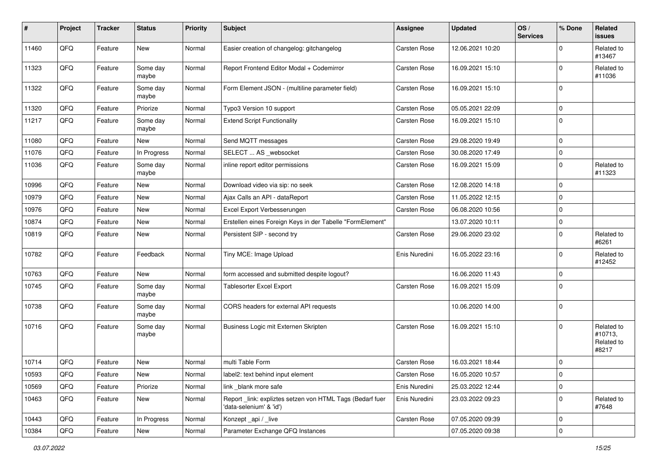| $\vert$ # | Project | <b>Tracker</b> | <b>Status</b>     | <b>Priority</b> | <b>Subject</b>                                                                       | Assignee      | <b>Updated</b>   | OS/<br><b>Services</b> | % Done      | Related<br>issues                            |
|-----------|---------|----------------|-------------------|-----------------|--------------------------------------------------------------------------------------|---------------|------------------|------------------------|-------------|----------------------------------------------|
| 11460     | QFQ     | Feature        | New               | Normal          | Easier creation of changelog: gitchangelog                                           | Carsten Rose  | 12.06.2021 10:20 |                        | $\Omega$    | Related to<br>#13467                         |
| 11323     | QFQ     | Feature        | Some day<br>maybe | Normal          | Report Frontend Editor Modal + Codemirror                                            | Carsten Rose  | 16.09.2021 15:10 |                        | $\Omega$    | Related to<br>#11036                         |
| 11322     | QFQ     | Feature        | Some day<br>maybe | Normal          | Form Element JSON - (multiline parameter field)                                      | Carsten Rose  | 16.09.2021 15:10 |                        | $\mathbf 0$ |                                              |
| 11320     | QFQ     | Feature        | Priorize          | Normal          | Typo3 Version 10 support                                                             | Carsten Rose  | 05.05.2021 22:09 |                        | $\pmb{0}$   |                                              |
| 11217     | QFQ     | Feature        | Some day<br>maybe | Normal          | <b>Extend Script Functionality</b>                                                   | Carsten Rose  | 16.09.2021 15:10 |                        | $\Omega$    |                                              |
| 11080     | QFQ     | Feature        | New               | Normal          | Send MQTT messages                                                                   | Carsten Rose  | 29.08.2020 19:49 |                        | $\mathbf 0$ |                                              |
| 11076     | QFQ     | Feature        | In Progress       | Normal          | SELECT  AS _websocket                                                                | Carsten Rose  | 30.08.2020 17:49 |                        | $\pmb{0}$   |                                              |
| 11036     | QFQ     | Feature        | Some day<br>maybe | Normal          | inline report editor permissions                                                     | Carsten Rose  | 16.09.2021 15:09 |                        | $\Omega$    | Related to<br>#11323                         |
| 10996     | QFQ     | Feature        | <b>New</b>        | Normal          | Download video via sip: no seek                                                      | Carsten Rose  | 12.08.2020 14:18 |                        | $\mathbf 0$ |                                              |
| 10979     | QFQ     | Feature        | <b>New</b>        | Normal          | Ajax Calls an API - dataReport                                                       | Carsten Rose  | 11.05.2022 12:15 |                        | $\mathbf 0$ |                                              |
| 10976     | QFQ     | Feature        | New               | Normal          | Excel Export Verbesserungen                                                          | Carsten Rose  | 06.08.2020 10:56 |                        | $\mathbf 0$ |                                              |
| 10874     | QFQ     | Feature        | <b>New</b>        | Normal          | Erstellen eines Foreign Keys in der Tabelle "FormElement"                            |               | 13.07.2020 10:11 |                        | 0           |                                              |
| 10819     | QFQ     | Feature        | New               | Normal          | Persistent SIP - second try                                                          | Carsten Rose  | 29.06.2020 23:02 |                        | $\mathbf 0$ | Related to<br>#6261                          |
| 10782     | QFQ     | Feature        | Feedback          | Normal          | Tiny MCE: Image Upload                                                               | Enis Nuredini | 16.05.2022 23:16 |                        | $\mathbf 0$ | Related to<br>#12452                         |
| 10763     | QFQ     | Feature        | New               | Normal          | form accessed and submitted despite logout?                                          |               | 16.06.2020 11:43 |                        | $\mathbf 0$ |                                              |
| 10745     | QFQ     | Feature        | Some day<br>maybe | Normal          | Tablesorter Excel Export                                                             | Carsten Rose  | 16.09.2021 15:09 |                        | $\mathbf 0$ |                                              |
| 10738     | QFQ     | Feature        | Some day<br>maybe | Normal          | CORS headers for external API requests                                               |               | 10.06.2020 14:00 |                        | $\mathbf 0$ |                                              |
| 10716     | QFQ     | Feature        | Some day<br>maybe | Normal          | Business Logic mit Externen Skripten                                                 | Carsten Rose  | 16.09.2021 15:10 |                        | $\mathbf 0$ | Related to<br>#10713,<br>Related to<br>#8217 |
| 10714     | QFQ     | Feature        | <b>New</b>        | Normal          | multi Table Form                                                                     | Carsten Rose  | 16.03.2021 18:44 |                        | $\mathbf 0$ |                                              |
| 10593     | QFQ     | Feature        | New               | Normal          | label2: text behind input element                                                    | Carsten Rose  | 16.05.2020 10:57 |                        | l 0         |                                              |
| 10569     | QFQ     | Feature        | Priorize          | Normal          | link blank more safe                                                                 | Enis Nuredini | 25.03.2022 12:44 |                        | $\pmb{0}$   |                                              |
| 10463     | QFQ     | Feature        | New               | Normal          | Report _link: expliztes setzen von HTML Tags (Bedarf fuer<br>'data-selenium' & 'id') | Enis Nuredini | 23.03.2022 09:23 |                        | $\pmb{0}$   | Related to<br>#7648                          |
| 10443     | QFO     | Feature        | In Progress       | Normal          | Konzept_api / _live                                                                  | Carsten Rose  | 07.05.2020 09:39 |                        | $\mathbf 0$ |                                              |
| 10384     | QFQ     | Feature        | New               | Normal          | Parameter Exchange QFQ Instances                                                     |               | 07.05.2020 09:38 |                        | $\pmb{0}$   |                                              |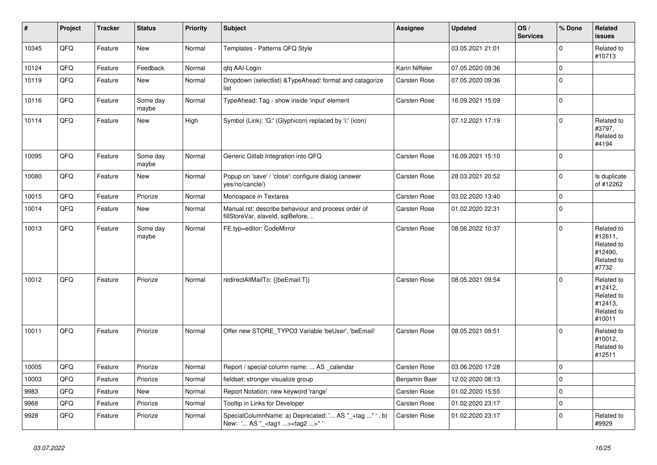| $\vert$ # | Project | <b>Tracker</b> | <b>Status</b>     | <b>Priority</b> | <b>Subject</b>                                                                                    | Assignee            | Updated          | OS/<br><b>Services</b> | % Done      | Related<br><b>issues</b>                                               |
|-----------|---------|----------------|-------------------|-----------------|---------------------------------------------------------------------------------------------------|---------------------|------------------|------------------------|-------------|------------------------------------------------------------------------|
| 10345     | QFQ     | Feature        | <b>New</b>        | Normal          | Templates - Patterns QFQ Style                                                                    |                     | 03.05.2021 21:01 |                        | $\mathbf 0$ | Related to<br>#10713                                                   |
| 10124     | QFQ     | Feature        | Feedback          | Normal          | qfq AAI-Login                                                                                     | Karin Niffeler      | 07.05.2020 09:36 |                        | $\pmb{0}$   |                                                                        |
| 10119     | QFQ     | Feature        | New               | Normal          | Dropdown (selectlist) & Type Ahead: format and catagorize<br>list                                 | <b>Carsten Rose</b> | 07.05.2020 09:36 |                        | $\pmb{0}$   |                                                                        |
| 10116     | QFQ     | Feature        | Some day<br>maybe | Normal          | TypeAhead: Tag - show inside 'input' element                                                      | Carsten Rose        | 16.09.2021 15:09 |                        | $\pmb{0}$   |                                                                        |
| 10114     | QFQ     | Feature        | New               | High            | Symbol (Link): 'G:' (Glyphicon) replaced by 'i:' (icon)                                           |                     | 07.12.2021 17:19 |                        | $\pmb{0}$   | Related to<br>#3797,<br>Related to<br>#4194                            |
| 10095     | QFQ     | Feature        | Some day<br>maybe | Normal          | Generic Gitlab Integration into QFQ                                                               | <b>Carsten Rose</b> | 16.09.2021 15:10 |                        | $\mathbf 0$ |                                                                        |
| 10080     | QFQ     | Feature        | New               | Normal          | Popup on 'save' / 'close': configure dialog (answer<br>yes/no/cancle/)                            | Carsten Rose        | 28.03.2021 20:52 |                        | $\pmb{0}$   | Is duplicate<br>of #12262                                              |
| 10015     | QFQ     | Feature        | Priorize          | Normal          | Monospace in Textarea                                                                             | <b>Carsten Rose</b> | 03.02.2020 13:40 |                        | $\mathbf 0$ |                                                                        |
| 10014     | QFQ     | Feature        | New               | Normal          | Manual.rst: describe behaviour and process order of<br>fillStoreVar, slaveId, sqlBefore,          | Carsten Rose        | 01.02.2020 22:31 |                        | $\mathbf 0$ |                                                                        |
| 10013     | QFQ     | Feature        | Some day<br>maybe | Normal          | FE.typ=editor: CodeMirror                                                                         | Carsten Rose        | 08.06.2022 10:37 |                        | $\mathbf 0$ | Related to<br>#12611,<br>Related to<br>#12490,<br>Related to<br>#7732  |
| 10012     | QFQ     | Feature        | Priorize          | Normal          | redirectAllMailTo: {{beEmail:T}}                                                                  | Carsten Rose        | 08.05.2021 09:54 |                        | $\pmb{0}$   | Related to<br>#12412,<br>Related to<br>#12413,<br>Related to<br>#10011 |
| 10011     | QFQ     | Feature        | Priorize          | Normal          | Offer new STORE_TYPO3 Variable 'beUser', 'beEmail'                                                | <b>Carsten Rose</b> | 08.05.2021 09:51 |                        | $\pmb{0}$   | Related to<br>#10012,<br>Related to<br>#12511                          |
| 10005     | QFQ     | Feature        | Priorize          | Normal          | Report / special column name:  AS _calendar                                                       | Carsten Rose        | 03.06.2020 17:28 |                        | $\pmb{0}$   |                                                                        |
| 10003     | QFQ     | Feature        | Priorize          | Normal          | fieldset: stronger visualize group                                                                | Benjamin Baer       | 12.02.2020 08:13 |                        | $\mathbf 0$ |                                                                        |
| 9983      | QFQ     | Feature        | New               | Normal          | Report Notation: new keyword 'range'                                                              | Carsten Rose        | 01.02.2020 15:55 |                        | $\pmb{0}$   |                                                                        |
| 9968      | QFQ     | Feature        | Priorize          | Normal          | Tooltip in Links for Developer                                                                    | Carsten Rose        | 01.02.2020 23:17 |                        | $\pmb{0}$   |                                                                        |
| 9928      | QFQ     | Feature        | Priorize          | Normal          | SpecialColumnName: a) Deprecated: ' AS "_+tag "', b)<br>New: ' AS "_ <tag1><tag2>"'</tag2></tag1> | Carsten Rose        | 01.02.2020 23:17 |                        | $\pmb{0}$   | Related to<br>#9929                                                    |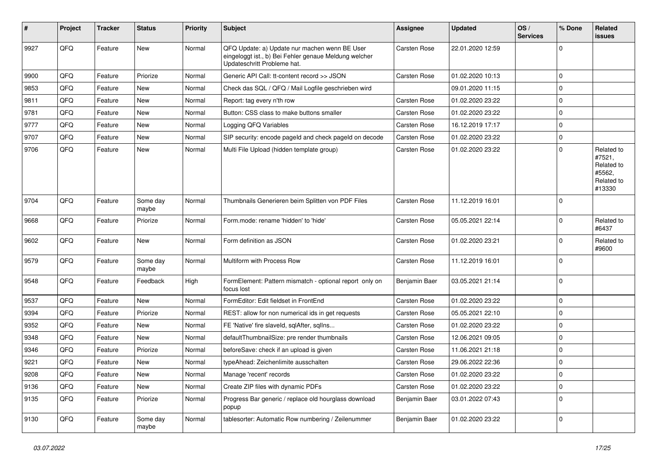| ∦    | Project | <b>Tracker</b> | <b>Status</b>     | <b>Priority</b> | <b>Subject</b>                                                                                                                        | Assignee            | <b>Updated</b>   | OS/<br><b>Services</b> | % Done      | Related<br><b>issues</b>                                             |
|------|---------|----------------|-------------------|-----------------|---------------------------------------------------------------------------------------------------------------------------------------|---------------------|------------------|------------------------|-------------|----------------------------------------------------------------------|
| 9927 | QFQ     | Feature        | <b>New</b>        | Normal          | QFQ Update: a) Update nur machen wenn BE User<br>eingeloggt ist., b) Bei Fehler genaue Meldung welcher<br>Updateschritt Probleme hat. | Carsten Rose        | 22.01.2020 12:59 |                        | 0           |                                                                      |
| 9900 | QFQ     | Feature        | Priorize          | Normal          | Generic API Call: tt-content record >> JSON                                                                                           | <b>Carsten Rose</b> | 01.02.2020 10:13 |                        | $\mathbf 0$ |                                                                      |
| 9853 | QFQ     | Feature        | New               | Normal          | Check das SQL / QFQ / Mail Logfile geschrieben wird                                                                                   |                     | 09.01.2020 11:15 |                        | $\mathbf 0$ |                                                                      |
| 9811 | QFQ     | Feature        | <b>New</b>        | Normal          | Report: tag every n'th row                                                                                                            | Carsten Rose        | 01.02.2020 23:22 |                        | $\mathbf 0$ |                                                                      |
| 9781 | QFQ     | Feature        | <b>New</b>        | Normal          | Button: CSS class to make buttons smaller                                                                                             | <b>Carsten Rose</b> | 01.02.2020 23:22 |                        | $\mathbf 0$ |                                                                      |
| 9777 | QFQ     | Feature        | New               | Normal          | Logging QFQ Variables                                                                                                                 | <b>Carsten Rose</b> | 16.12.2019 17:17 |                        | $\mathbf 0$ |                                                                      |
| 9707 | QFQ     | Feature        | <b>New</b>        | Normal          | SIP security: encode pageld and check pageld on decode                                                                                | <b>Carsten Rose</b> | 01.02.2020 23:22 |                        | $\mathbf 0$ |                                                                      |
| 9706 | QFQ     | Feature        | <b>New</b>        | Normal          | Multi File Upload (hidden template group)                                                                                             | <b>Carsten Rose</b> | 01.02.2020 23:22 |                        | $\mathbf 0$ | Related to<br>#7521,<br>Related to<br>#5562,<br>Related to<br>#13330 |
| 9704 | QFQ     | Feature        | Some day<br>maybe | Normal          | Thumbnails Generieren beim Splitten von PDF Files                                                                                     | <b>Carsten Rose</b> | 11.12.2019 16:01 |                        | $\mathbf 0$ |                                                                      |
| 9668 | QFQ     | Feature        | Priorize          | Normal          | Form.mode: rename 'hidden' to 'hide'                                                                                                  | <b>Carsten Rose</b> | 05.05.2021 22:14 |                        | $\mathbf 0$ | Related to<br>#6437                                                  |
| 9602 | QFQ     | Feature        | <b>New</b>        | Normal          | Form definition as JSON                                                                                                               | Carsten Rose        | 01.02.2020 23:21 |                        | $\mathbf 0$ | Related to<br>#9600                                                  |
| 9579 | QFQ     | Feature        | Some day<br>maybe | Normal          | Multiform with Process Row                                                                                                            | Carsten Rose        | 11.12.2019 16:01 |                        | $\mathbf 0$ |                                                                      |
| 9548 | QFQ     | Feature        | Feedback          | High            | FormElement: Pattern mismatch - optional report only on<br>focus lost                                                                 | Benjamin Baer       | 03.05.2021 21:14 |                        | $\mathbf 0$ |                                                                      |
| 9537 | QFQ     | Feature        | <b>New</b>        | Normal          | FormEditor: Edit fieldset in FrontEnd                                                                                                 | <b>Carsten Rose</b> | 01.02.2020 23:22 |                        | $\mathbf 0$ |                                                                      |
| 9394 | QFQ     | Feature        | Priorize          | Normal          | REST: allow for non numerical ids in get requests                                                                                     | Carsten Rose        | 05.05.2021 22:10 |                        | $\mathbf 0$ |                                                                      |
| 9352 | QFQ     | Feature        | <b>New</b>        | Normal          | FE 'Native' fire slaveld, sqlAfter, sqlIns                                                                                            | <b>Carsten Rose</b> | 01.02.2020 23:22 |                        | $\mathbf 0$ |                                                                      |
| 9348 | QFQ     | Feature        | New               | Normal          | defaultThumbnailSize: pre render thumbnails                                                                                           | <b>Carsten Rose</b> | 12.06.2021 09:05 |                        | $\mathbf 0$ |                                                                      |
| 9346 | QFQ     | Feature        | Priorize          | Normal          | beforeSave: check if an upload is given                                                                                               | Carsten Rose        | 11.06.2021 21:18 |                        | $\mathbf 0$ |                                                                      |
| 9221 | QFQ     | Feature        | <b>New</b>        | Normal          | typeAhead: Zeichenlimite ausschalten                                                                                                  | <b>Carsten Rose</b> | 29.06.2022 22:36 |                        | $\mathbf 0$ |                                                                      |
| 9208 | QFQ     | Feature        | New               | Normal          | Manage 'recent' records                                                                                                               | Carsten Rose        | 01.02.2020 23:22 |                        | 0           |                                                                      |
| 9136 | QFQ     | Feature        | New               | Normal          | Create ZIP files with dynamic PDFs                                                                                                    | Carsten Rose        | 01.02.2020 23:22 |                        | $\mathsf 0$ |                                                                      |
| 9135 | QFQ     | Feature        | Priorize          | Normal          | Progress Bar generic / replace old hourglass download<br>popup                                                                        | Benjamin Baer       | 03.01.2022 07:43 |                        | $\mathbf 0$ |                                                                      |
| 9130 | QFQ     | Feature        | Some day<br>maybe | Normal          | tablesorter: Automatic Row numbering / Zeilenummer                                                                                    | Benjamin Baer       | 01.02.2020 23:22 |                        | 0           |                                                                      |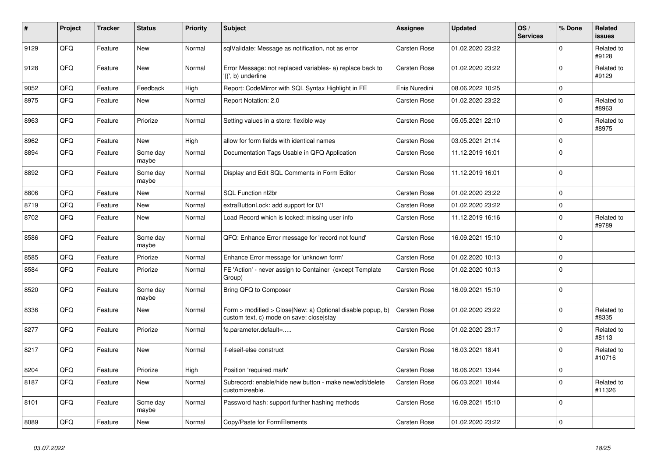| #    | Project | <b>Tracker</b> | <b>Status</b>     | <b>Priority</b> | <b>Subject</b>                                                                                         | Assignee            | <b>Updated</b>   | OS/<br><b>Services</b> | % Done      | Related<br><b>issues</b> |
|------|---------|----------------|-------------------|-----------------|--------------------------------------------------------------------------------------------------------|---------------------|------------------|------------------------|-------------|--------------------------|
| 9129 | QFQ     | Feature        | <b>New</b>        | Normal          | sqlValidate: Message as notification, not as error                                                     | Carsten Rose        | 01.02.2020 23:22 |                        | $\Omega$    | Related to<br>#9128      |
| 9128 | QFQ     | Feature        | <b>New</b>        | Normal          | Error Message: not replaced variables- a) replace back to<br>'{{', b) underline                        | <b>Carsten Rose</b> | 01.02.2020 23:22 |                        | $\mathbf 0$ | Related to<br>#9129      |
| 9052 | QFQ     | Feature        | Feedback          | High            | Report: CodeMirror with SQL Syntax Highlight in FE                                                     | Enis Nuredini       | 08.06.2022 10:25 |                        | $\mathbf 0$ |                          |
| 8975 | QFQ     | Feature        | <b>New</b>        | Normal          | Report Notation: 2.0                                                                                   | <b>Carsten Rose</b> | 01.02.2020 23:22 |                        | $\mathbf 0$ | Related to<br>#8963      |
| 8963 | QFQ     | Feature        | Priorize          | Normal          | Setting values in a store: flexible way                                                                | Carsten Rose        | 05.05.2021 22:10 |                        | $\Omega$    | Related to<br>#8975      |
| 8962 | QFQ     | Feature        | <b>New</b>        | High            | allow for form fields with identical names                                                             | Carsten Rose        | 03.05.2021 21:14 |                        | $\mathbf 0$ |                          |
| 8894 | QFQ     | Feature        | Some day<br>maybe | Normal          | Documentation Tags Usable in QFQ Application                                                           | <b>Carsten Rose</b> | 11.12.2019 16:01 |                        | $\Omega$    |                          |
| 8892 | QFQ     | Feature        | Some day<br>maybe | Normal          | Display and Edit SQL Comments in Form Editor                                                           | <b>Carsten Rose</b> | 11.12.2019 16:01 |                        | $\Omega$    |                          |
| 8806 | QFQ     | Feature        | New               | Normal          | SQL Function nl2br                                                                                     | <b>Carsten Rose</b> | 01.02.2020 23:22 |                        | $\mathbf 0$ |                          |
| 8719 | QFQ     | Feature        | New               | Normal          | extraButtonLock: add support for 0/1                                                                   | Carsten Rose        | 01.02.2020 23:22 |                        | $\mathbf 0$ |                          |
| 8702 | QFQ     | Feature        | New               | Normal          | Load Record which is locked: missing user info                                                         | <b>Carsten Rose</b> | 11.12.2019 16:16 |                        | $\mathbf 0$ | Related to<br>#9789      |
| 8586 | QFQ     | Feature        | Some day<br>maybe | Normal          | QFQ: Enhance Error message for 'record not found'                                                      | <b>Carsten Rose</b> | 16.09.2021 15:10 |                        | $\Omega$    |                          |
| 8585 | QFQ     | Feature        | Priorize          | Normal          | Enhance Error message for 'unknown form'                                                               | Carsten Rose        | 01.02.2020 10:13 |                        | $\pmb{0}$   |                          |
| 8584 | QFQ     | Feature        | Priorize          | Normal          | FE 'Action' - never assign to Container (except Template<br>Group)                                     | Carsten Rose        | 01.02.2020 10:13 |                        | $\Omega$    |                          |
| 8520 | QFQ     | Feature        | Some day<br>maybe | Normal          | Bring QFQ to Composer                                                                                  | Carsten Rose        | 16.09.2021 15:10 |                        | $\mathbf 0$ |                          |
| 8336 | QFQ     | Feature        | New               | Normal          | Form > modified > Close New: a) Optional disable popup, b)<br>custom text, c) mode on save: close stay | <b>Carsten Rose</b> | 01.02.2020 23:22 |                        | $\Omega$    | Related to<br>#8335      |
| 8277 | QFQ     | Feature        | Priorize          | Normal          | fe.parameter.default=                                                                                  | Carsten Rose        | 01.02.2020 23:17 |                        | $\Omega$    | Related to<br>#8113      |
| 8217 | QFQ     | Feature        | <b>New</b>        | Normal          | if-elseif-else construct                                                                               | Carsten Rose        | 16.03.2021 18:41 |                        | $\Omega$    | Related to<br>#10716     |
| 8204 | QFQ     | Feature        | Priorize          | High            | Position 'required mark'                                                                               | Carsten Rose        | 16.06.2021 13:44 |                        | $\mathbf 0$ |                          |
| 8187 | QFQ     | Feature        | New               | Normal          | Subrecord: enable/hide new button - make new/edit/delete<br>customizeable.                             | <b>Carsten Rose</b> | 06.03.2021 18:44 |                        | $\Omega$    | Related to<br>#11326     |
| 8101 | QFQ     | Feature        | Some day<br>maybe | Normal          | Password hash: support further hashing methods                                                         | <b>Carsten Rose</b> | 16.09.2021 15:10 |                        | $\mathbf 0$ |                          |
| 8089 | QFQ     | Feature        | New               | Normal          | Copy/Paste for FormElements                                                                            | <b>Carsten Rose</b> | 01.02.2020 23:22 |                        | $\mathbf 0$ |                          |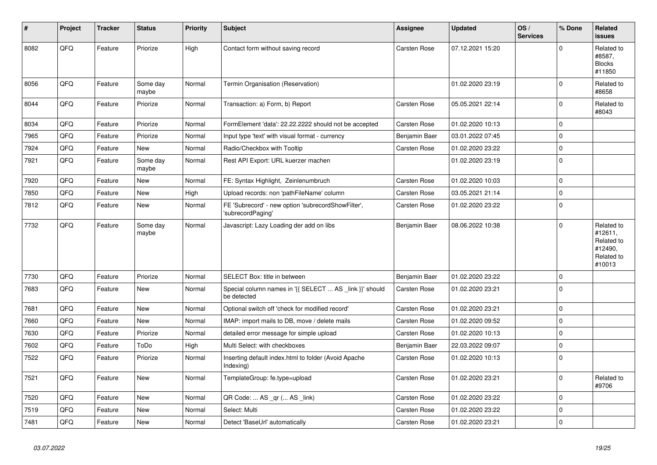| #    | Project | <b>Tracker</b> | <b>Status</b>     | <b>Priority</b> | Subject                                                                 | Assignee            | <b>Updated</b>   | OS/<br><b>Services</b> | % Done      | Related<br><b>issues</b>                                               |
|------|---------|----------------|-------------------|-----------------|-------------------------------------------------------------------------|---------------------|------------------|------------------------|-------------|------------------------------------------------------------------------|
| 8082 | QFQ     | Feature        | Priorize          | High            | Contact form without saving record                                      | Carsten Rose        | 07.12.2021 15:20 |                        | $\Omega$    | Related to<br>#8587,<br><b>Blocks</b><br>#11850                        |
| 8056 | QFQ     | Feature        | Some day<br>maybe | Normal          | Termin Organisation (Reservation)                                       |                     | 01.02.2020 23:19 |                        | $\mathbf 0$ | Related to<br>#8658                                                    |
| 8044 | QFQ     | Feature        | Priorize          | Normal          | Transaction: a) Form, b) Report                                         | Carsten Rose        | 05.05.2021 22:14 |                        | $\Omega$    | Related to<br>#8043                                                    |
| 8034 | QFQ     | Feature        | Priorize          | Normal          | FormElement 'data': 22.22.2222 should not be accepted                   | Carsten Rose        | 01.02.2020 10:13 |                        | $\mathbf 0$ |                                                                        |
| 7965 | QFQ     | Feature        | Priorize          | Normal          | Input type 'text' with visual format - currency                         | Benjamin Baer       | 03.01.2022 07:45 |                        | $\pmb{0}$   |                                                                        |
| 7924 | QFQ     | Feature        | <b>New</b>        | Normal          | Radio/Checkbox with Tooltip                                             | <b>Carsten Rose</b> | 01.02.2020 23:22 |                        | $\mathbf 0$ |                                                                        |
| 7921 | QFQ     | Feature        | Some day<br>maybe | Normal          | Rest API Export: URL kuerzer machen                                     |                     | 01.02.2020 23:19 |                        | $\mathbf 0$ |                                                                        |
| 7920 | QFQ     | Feature        | New               | Normal          | FE: Syntax Highlight, Zeinlenumbruch                                    | Carsten Rose        | 01.02.2020 10:03 |                        | $\mathbf 0$ |                                                                        |
| 7850 | QFQ     | Feature        | New               | High            | Upload records: non 'pathFileName' column                               | <b>Carsten Rose</b> | 03.05.2021 21:14 |                        | $\mathbf 0$ |                                                                        |
| 7812 | QFQ     | Feature        | New               | Normal          | FE 'Subrecord' - new option 'subrecordShowFilter',<br>'subrecordPaging' | Carsten Rose        | 01.02.2020 23:22 |                        | $\mathbf 0$ |                                                                        |
| 7732 | QFQ     | Feature        | Some day<br>maybe | Normal          | Javascript: Lazy Loading der add on libs                                | Benjamin Baer       | 08.06.2022 10:38 |                        | $\mathbf 0$ | Related to<br>#12611,<br>Related to<br>#12490.<br>Related to<br>#10013 |
| 7730 | QFQ     | Feature        | Priorize          | Normal          | SELECT Box: title in between                                            | Benjamin Baer       | 01.02.2020 23:22 |                        | $\mathbf 0$ |                                                                        |
| 7683 | QFQ     | Feature        | New               | Normal          | Special column names in '{{ SELECT  AS _link }}' should<br>be detected  | Carsten Rose        | 01.02.2020 23:21 |                        | $\Omega$    |                                                                        |
| 7681 | QFQ     | Feature        | <b>New</b>        | Normal          | Optional switch off 'check for modified record'                         | Carsten Rose        | 01.02.2020 23:21 |                        | $\pmb{0}$   |                                                                        |
| 7660 | QFQ     | Feature        | <b>New</b>        | Normal          | IMAP: import mails to DB, move / delete mails                           | Carsten Rose        | 01.02.2020 09:52 |                        | $\mathbf 0$ |                                                                        |
| 7630 | QFQ     | Feature        | Priorize          | Normal          | detailed error message for simple upload                                | <b>Carsten Rose</b> | 01.02.2020 10:13 |                        | $\mathbf 0$ |                                                                        |
| 7602 | QFQ     | Feature        | ToDo              | High            | Multi Select: with checkboxes                                           | Benjamin Baer       | 22.03.2022 09:07 |                        | $\mathbf 0$ |                                                                        |
| 7522 | QFQ     | Feature        | Priorize          | Normal          | Inserting default index.html to folder (Avoid Apache<br>Indexing)       | Carsten Rose        | 01.02.2020 10:13 |                        | $\pmb{0}$   |                                                                        |
| 7521 | QFQ     | Feature        | New               | Normal          | TemplateGroup: fe.type=upload                                           | Carsten Rose        | 01.02.2020 23:21 |                        | $\mathbf 0$ | Related to<br>#9706                                                    |
| 7520 | QFQ     | Feature        | New               | Normal          | QR Code:  AS _qr ( AS _link)                                            | <b>Carsten Rose</b> | 01.02.2020 23:22 |                        | $\mathbf 0$ |                                                                        |
| 7519 | QFQ     | Feature        | New               | Normal          | Select: Multi                                                           | <b>Carsten Rose</b> | 01.02.2020 23:22 |                        | $\mathbf 0$ |                                                                        |
| 7481 | QFQ     | Feature        | New               | Normal          | Detect 'BaseUrl' automatically                                          | <b>Carsten Rose</b> | 01.02.2020 23:21 |                        | $\mathbf 0$ |                                                                        |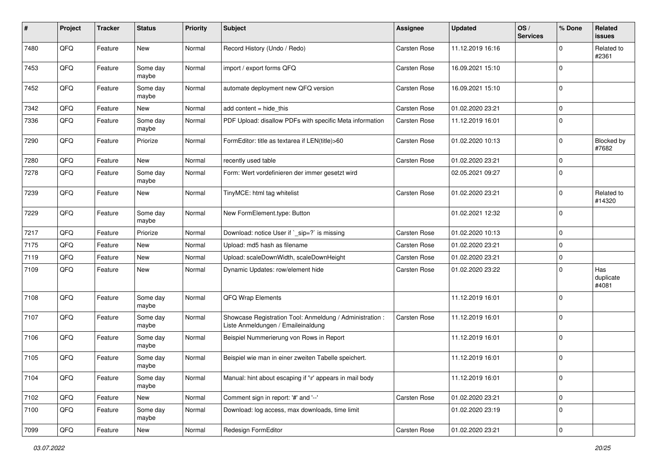| ∦    | Project | <b>Tracker</b> | <b>Status</b>     | <b>Priority</b> | <b>Subject</b>                                                                                 | Assignee            | <b>Updated</b>   | OS/<br><b>Services</b> | % Done      | <b>Related</b><br><b>issues</b> |
|------|---------|----------------|-------------------|-----------------|------------------------------------------------------------------------------------------------|---------------------|------------------|------------------------|-------------|---------------------------------|
| 7480 | QFQ     | Feature        | New               | Normal          | Record History (Undo / Redo)                                                                   | <b>Carsten Rose</b> | 11.12.2019 16:16 |                        | $\mathbf 0$ | Related to<br>#2361             |
| 7453 | QFQ     | Feature        | Some day<br>maybe | Normal          | import / export forms QFQ                                                                      | Carsten Rose        | 16.09.2021 15:10 |                        | $\mathbf 0$ |                                 |
| 7452 | QFQ     | Feature        | Some day<br>maybe | Normal          | automate deployment new QFQ version                                                            | Carsten Rose        | 16.09.2021 15:10 |                        | $\mathbf 0$ |                                 |
| 7342 | QFQ     | Feature        | New               | Normal          | add content $=$ hide this                                                                      | Carsten Rose        | 01.02.2020 23:21 |                        | $\mathbf 0$ |                                 |
| 7336 | QFQ     | Feature        | Some day<br>maybe | Normal          | PDF Upload: disallow PDFs with specific Meta information                                       | Carsten Rose        | 11.12.2019 16:01 |                        | $\mathbf 0$ |                                 |
| 7290 | QFQ     | Feature        | Priorize          | Normal          | FormEditor: title as textarea if LEN(title)>60                                                 | Carsten Rose        | 01.02.2020 10:13 |                        | $\mathbf 0$ | Blocked by<br>#7682             |
| 7280 | QFQ     | Feature        | New               | Normal          | recently used table                                                                            | Carsten Rose        | 01.02.2020 23:21 |                        | $\mathbf 0$ |                                 |
| 7278 | QFQ     | Feature        | Some day<br>maybe | Normal          | Form: Wert vordefinieren der immer gesetzt wird                                                |                     | 02.05.2021 09:27 |                        | $\mathbf 0$ |                                 |
| 7239 | QFQ     | Feature        | New               | Normal          | TinyMCE: html tag whitelist                                                                    | Carsten Rose        | 01.02.2020 23:21 |                        | $\mathbf 0$ | Related to<br>#14320            |
| 7229 | QFQ     | Feature        | Some day<br>maybe | Normal          | New FormElement.type: Button                                                                   |                     | 01.02.2021 12:32 |                        | $\mathbf 0$ |                                 |
| 7217 | QFQ     | Feature        | Priorize          | Normal          | Download: notice User if `_sip=?` is missing                                                   | Carsten Rose        | 01.02.2020 10:13 |                        | $\mathbf 0$ |                                 |
| 7175 | QFQ     | Feature        | <b>New</b>        | Normal          | Upload: md5 hash as filename                                                                   | <b>Carsten Rose</b> | 01.02.2020 23:21 |                        | $\mathbf 0$ |                                 |
| 7119 | QFQ     | Feature        | New               | Normal          | Upload: scaleDownWidth, scaleDownHeight                                                        | Carsten Rose        | 01.02.2020 23:21 |                        | $\mathbf 0$ |                                 |
| 7109 | QFQ     | Feature        | New               | Normal          | Dynamic Updates: row/element hide                                                              | Carsten Rose        | 01.02.2020 23:22 |                        | $\mathbf 0$ | Has<br>duplicate<br>#4081       |
| 7108 | QFQ     | Feature        | Some day<br>maybe | Normal          | QFQ Wrap Elements                                                                              |                     | 11.12.2019 16:01 |                        | $\mathbf 0$ |                                 |
| 7107 | QFQ     | Feature        | Some day<br>maybe | Normal          | Showcase Registration Tool: Anmeldung / Administration :<br>Liste Anmeldungen / Emaileinaldung | <b>Carsten Rose</b> | 11.12.2019 16:01 |                        | $\mathbf 0$ |                                 |
| 7106 | QFQ     | Feature        | Some day<br>maybe | Normal          | Beispiel Nummerierung von Rows in Report                                                       |                     | 11.12.2019 16:01 |                        | $\mathbf 0$ |                                 |
| 7105 | QFQ     | Feature        | Some day<br>maybe | Normal          | Beispiel wie man in einer zweiten Tabelle speichert.                                           |                     | 11.12.2019 16:01 |                        | $\mathbf 0$ |                                 |
| 7104 | QFQ     | Feature        | Some day<br>maybe | Normal          | Manual: hint about escaping if '\r' appears in mail body                                       |                     | 11.12.2019 16:01 |                        | 0           |                                 |
| 7102 | QFQ     | Feature        | New               | Normal          | Comment sign in report: '#' and '--'                                                           | Carsten Rose        | 01.02.2020 23:21 |                        | $\mathbf 0$ |                                 |
| 7100 | QFQ     | Feature        | Some day<br>maybe | Normal          | Download: log access, max downloads, time limit                                                |                     | 01.02.2020 23:19 |                        | $\mathbf 0$ |                                 |
| 7099 | QFG     | Feature        | New               | Normal          | Redesign FormEditor                                                                            | Carsten Rose        | 01.02.2020 23:21 |                        | $\mathbf 0$ |                                 |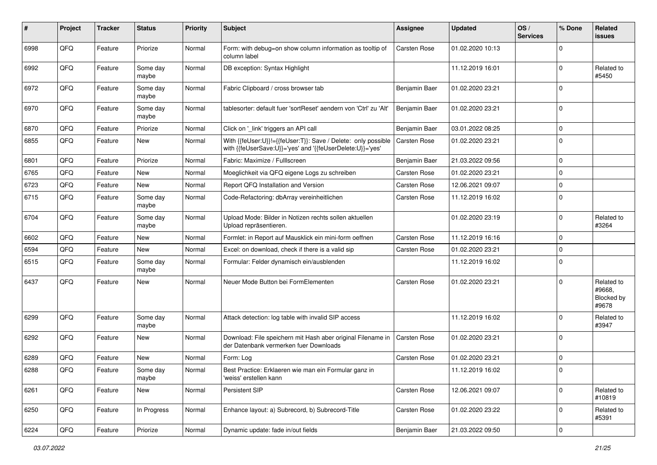| #    | Project | <b>Tracker</b> | <b>Status</b>     | <b>Priority</b> | <b>Subject</b>                                                                                                             | Assignee            | <b>Updated</b>   | OS/<br><b>Services</b> | % Done      | Related<br><b>issues</b>                    |
|------|---------|----------------|-------------------|-----------------|----------------------------------------------------------------------------------------------------------------------------|---------------------|------------------|------------------------|-------------|---------------------------------------------|
| 6998 | QFQ     | Feature        | Priorize          | Normal          | Form: with debug=on show column information as tooltip of<br>column label                                                  | <b>Carsten Rose</b> | 01.02.2020 10:13 |                        | $\mathbf 0$ |                                             |
| 6992 | QFQ     | Feature        | Some day<br>maybe | Normal          | DB exception: Syntax Highlight                                                                                             |                     | 11.12.2019 16:01 |                        | $\mathbf 0$ | Related to<br>#5450                         |
| 6972 | QFQ     | Feature        | Some day<br>maybe | Normal          | Fabric Clipboard / cross browser tab                                                                                       | Benjamin Baer       | 01.02.2020 23:21 |                        | $\mathbf 0$ |                                             |
| 6970 | QFQ     | Feature        | Some day<br>maybe | Normal          | tablesorter: default fuer 'sortReset' aendern von 'Ctrl' zu 'Alt'                                                          | Benjamin Baer       | 01.02.2020 23:21 |                        | $\mathbf 0$ |                                             |
| 6870 | QFQ     | Feature        | Priorize          | Normal          | Click on '_link' triggers an API call                                                                                      | Benjamin Baer       | 03.01.2022 08:25 |                        | $\mathbf 0$ |                                             |
| 6855 | QFQ     | Feature        | New               | Normal          | With {{feUser:U}}!={{feUser:T}}: Save / Delete: only possible<br>with {{feUserSave:U}}='yes' and '{{feUserDelete:U}}='yes' | <b>Carsten Rose</b> | 01.02.2020 23:21 |                        | $\mathbf 0$ |                                             |
| 6801 | QFQ     | Feature        | Priorize          | Normal          | Fabric: Maximize / FullIscreen                                                                                             | Benjamin Baer       | 21.03.2022 09:56 |                        | $\mathbf 0$ |                                             |
| 6765 | QFQ     | Feature        | New               | Normal          | Moeglichkeit via QFQ eigene Logs zu schreiben                                                                              | <b>Carsten Rose</b> | 01.02.2020 23:21 |                        | $\mathbf 0$ |                                             |
| 6723 | QFQ     | Feature        | <b>New</b>        | Normal          | Report QFQ Installation and Version                                                                                        | <b>Carsten Rose</b> | 12.06.2021 09:07 |                        | $\mathbf 0$ |                                             |
| 6715 | QFQ     | Feature        | Some day<br>maybe | Normal          | Code-Refactoring: dbArray vereinheitlichen                                                                                 | Carsten Rose        | 11.12.2019 16:02 |                        | $\mathbf 0$ |                                             |
| 6704 | QFQ     | Feature        | Some day<br>maybe | Normal          | Upload Mode: Bilder in Notizen rechts sollen aktuellen<br>Upload repräsentieren.                                           |                     | 01.02.2020 23:19 |                        | $\mathbf 0$ | Related to<br>#3264                         |
| 6602 | QFQ     | Feature        | New               | Normal          | Formlet: in Report auf Mausklick ein mini-form oeffnen                                                                     | <b>Carsten Rose</b> | 11.12.2019 16:16 |                        | $\mathbf 0$ |                                             |
| 6594 | QFQ     | Feature        | <b>New</b>        | Normal          | Excel: on download, check if there is a valid sip                                                                          | <b>Carsten Rose</b> | 01.02.2020 23:21 |                        | $\mathbf 0$ |                                             |
| 6515 | QFQ     | Feature        | Some day<br>maybe | Normal          | Formular: Felder dynamisch ein/ausblenden                                                                                  |                     | 11.12.2019 16:02 |                        | $\mathbf 0$ |                                             |
| 6437 | QFQ     | Feature        | New               | Normal          | Neuer Mode Button bei FormElementen                                                                                        | <b>Carsten Rose</b> | 01.02.2020 23:21 |                        | $\mathbf 0$ | Related to<br>#9668.<br>Blocked by<br>#9678 |
| 6299 | QFQ     | Feature        | Some day<br>maybe | Normal          | Attack detection: log table with invalid SIP access                                                                        |                     | 11.12.2019 16:02 |                        | $\mathbf 0$ | Related to<br>#3947                         |
| 6292 | QFQ     | Feature        | New               | Normal          | Download: File speichern mit Hash aber original Filename in<br>der Datenbank vermerken fuer Downloads                      | Carsten Rose        | 01.02.2020 23:21 |                        | $\mathbf 0$ |                                             |
| 6289 | QFQ     | Feature        | <b>New</b>        | Normal          | Form: Log                                                                                                                  | Carsten Rose        | 01.02.2020 23:21 |                        | $\mathbf 0$ |                                             |
| 6288 | QFQ     | Feature        | Some day<br>maybe | Normal          | Best Practice: Erklaeren wie man ein Formular ganz in<br>'weiss' erstellen kann                                            |                     | 11.12.2019 16:02 |                        | $\Omega$    |                                             |
| 6261 | QFQ     | Feature        | New               | Normal          | Persistent SIP                                                                                                             | Carsten Rose        | 12.06.2021 09:07 |                        | $\mathbf 0$ | Related to<br>#10819                        |
| 6250 | QFQ     | Feature        | In Progress       | Normal          | Enhance layout: a) Subrecord, b) Subrecord-Title                                                                           | Carsten Rose        | 01.02.2020 23:22 |                        | $\mathbf 0$ | Related to<br>#5391                         |
| 6224 | QFG     | Feature        | Priorize          | Normal          | Dynamic update: fade in/out fields                                                                                         | Benjamin Baer       | 21.03.2022 09:50 |                        | $\pmb{0}$   |                                             |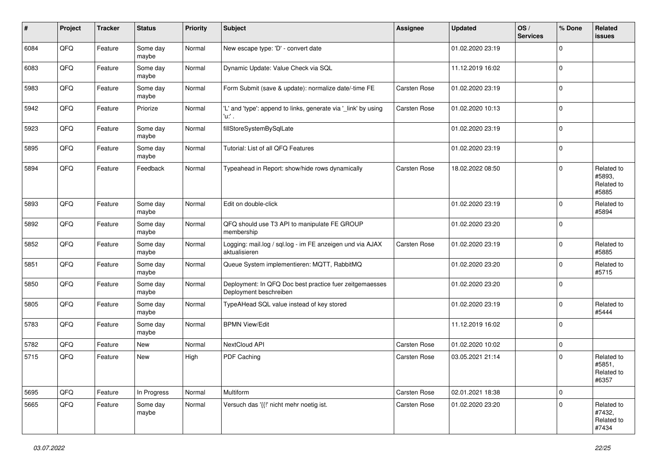| #    | Project | <b>Tracker</b> | <b>Status</b>     | <b>Priority</b> | <b>Subject</b>                                                                    | Assignee            | <b>Updated</b>   | OS/<br><b>Services</b> | % Done      | Related<br>issues                           |
|------|---------|----------------|-------------------|-----------------|-----------------------------------------------------------------------------------|---------------------|------------------|------------------------|-------------|---------------------------------------------|
| 6084 | QFQ     | Feature        | Some day<br>maybe | Normal          | New escape type: 'D' - convert date                                               |                     | 01.02.2020 23:19 |                        | $\Omega$    |                                             |
| 6083 | QFQ     | Feature        | Some day<br>maybe | Normal          | Dynamic Update: Value Check via SQL                                               |                     | 11.12.2019 16:02 |                        | $\mathbf 0$ |                                             |
| 5983 | QFQ     | Feature        | Some day<br>maybe | Normal          | Form Submit (save & update): normalize date/-time FE                              | <b>Carsten Rose</b> | 01.02.2020 23:19 |                        | $\Omega$    |                                             |
| 5942 | QFQ     | Feature        | Priorize          | Normal          | 'L' and 'type': append to links, generate via '_link' by using<br>'u:' .          | <b>Carsten Rose</b> | 01.02.2020 10:13 |                        | $\mathbf 0$ |                                             |
| 5923 | QFQ     | Feature        | Some day<br>maybe | Normal          | fillStoreSystemBySqlLate                                                          |                     | 01.02.2020 23:19 |                        | $\mathbf 0$ |                                             |
| 5895 | QFQ     | Feature        | Some day<br>maybe | Normal          | Tutorial: List of all QFQ Features                                                |                     | 01.02.2020 23:19 |                        | $\Omega$    |                                             |
| 5894 | QFQ     | Feature        | Feedback          | Normal          | Typeahead in Report: show/hide rows dynamically                                   | <b>Carsten Rose</b> | 18.02.2022 08:50 |                        | $\Omega$    | Related to<br>#5893,<br>Related to<br>#5885 |
| 5893 | QFQ     | Feature        | Some day<br>maybe | Normal          | Edit on double-click                                                              |                     | 01.02.2020 23:19 |                        | $\Omega$    | Related to<br>#5894                         |
| 5892 | QFQ     | Feature        | Some day<br>maybe | Normal          | QFQ should use T3 API to manipulate FE GROUP<br>membership                        |                     | 01.02.2020 23:20 |                        | $\mathbf 0$ |                                             |
| 5852 | QFQ     | Feature        | Some day<br>maybe | Normal          | Logging: mail.log / sql.log - im FE anzeigen und via AJAX<br>aktualisieren        | Carsten Rose        | 01.02.2020 23:19 |                        | $\mathbf 0$ | Related to<br>#5885                         |
| 5851 | QFQ     | Feature        | Some day<br>maybe | Normal          | Queue System implementieren: MQTT, RabbitMQ                                       |                     | 01.02.2020 23:20 |                        | $\Omega$    | Related to<br>#5715                         |
| 5850 | QFQ     | Feature        | Some day<br>maybe | Normal          | Deployment: In QFQ Doc best practice fuer zeitgemaesses<br>Deployment beschreiben |                     | 01.02.2020 23:20 |                        | $\Omega$    |                                             |
| 5805 | QFQ     | Feature        | Some day<br>maybe | Normal          | TypeAHead SQL value instead of key stored                                         |                     | 01.02.2020 23:19 |                        | $\mathbf 0$ | Related to<br>#5444                         |
| 5783 | QFQ     | Feature        | Some day<br>maybe | Normal          | <b>BPMN View/Edit</b>                                                             |                     | 11.12.2019 16:02 |                        | $\Omega$    |                                             |
| 5782 | QFQ     | Feature        | New               | Normal          | NextCloud API                                                                     | Carsten Rose        | 01.02.2020 10:02 |                        | $\mathbf 0$ |                                             |
| 5715 | QFQ     | Feature        | New               | High            | PDF Caching                                                                       | <b>Carsten Rose</b> | 03.05.2021 21:14 |                        | $\Omega$    | Related to<br>#5851,<br>Related to<br>#6357 |
| 5695 | QFO     | Feature        | In Progress       | Normal          | Multiform                                                                         | Carsten Rose        | 02.01.2021 18:38 |                        | $\mathbf 0$ |                                             |
| 5665 | QFO     | Feature        | Some day<br>maybe | Normal          | Versuch das '{{!' nicht mehr noetig ist.                                          | Carsten Rose        | 01.02.2020 23:20 |                        | $\mathbf 0$ | Related to<br>#7432,<br>Related to<br>#7434 |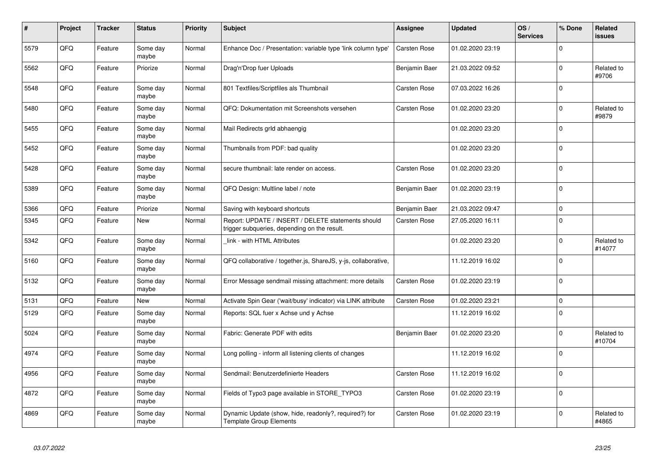| $\pmb{\sharp}$ | Project | <b>Tracker</b> | <b>Status</b>     | <b>Priority</b> | Subject                                                                                            | <b>Assignee</b>     | <b>Updated</b>   | OS/<br><b>Services</b> | % Done      | <b>Related</b><br><b>issues</b> |
|----------------|---------|----------------|-------------------|-----------------|----------------------------------------------------------------------------------------------------|---------------------|------------------|------------------------|-------------|---------------------------------|
| 5579           | QFQ     | Feature        | Some day<br>maybe | Normal          | Enhance Doc / Presentation: variable type 'link column type'                                       | <b>Carsten Rose</b> | 01.02.2020 23:19 |                        | $\Omega$    |                                 |
| 5562           | QFQ     | Feature        | Priorize          | Normal          | Drag'n'Drop fuer Uploads                                                                           | Benjamin Baer       | 21.03.2022 09:52 |                        | $\mathbf 0$ | Related to<br>#9706             |
| 5548           | QFQ     | Feature        | Some day<br>maybe | Normal          | 801 Textfiles/Scriptfiles als Thumbnail                                                            | <b>Carsten Rose</b> | 07.03.2022 16:26 |                        | $\mathbf 0$ |                                 |
| 5480           | QFQ     | Feature        | Some day<br>maybe | Normal          | QFQ: Dokumentation mit Screenshots versehen                                                        | Carsten Rose        | 01.02.2020 23:20 |                        | $\Omega$    | Related to<br>#9879             |
| 5455           | QFQ     | Feature        | Some day<br>maybe | Normal          | Mail Redirects grId abhaengig                                                                      |                     | 01.02.2020 23:20 |                        | $\mathbf 0$ |                                 |
| 5452           | QFQ     | Feature        | Some day<br>maybe | Normal          | Thumbnails from PDF: bad quality                                                                   |                     | 01.02.2020 23:20 |                        | $\mathbf 0$ |                                 |
| 5428           | QFQ     | Feature        | Some day<br>maybe | Normal          | secure thumbnail: late render on access.                                                           | Carsten Rose        | 01.02.2020 23:20 |                        | $\mathbf 0$ |                                 |
| 5389           | QFQ     | Feature        | Some day<br>maybe | Normal          | QFQ Design: Multline label / note                                                                  | Benjamin Baer       | 01.02.2020 23:19 |                        | $\Omega$    |                                 |
| 5366           | QFQ     | Feature        | Priorize          | Normal          | Saving with keyboard shortcuts                                                                     | Benjamin Baer       | 21.03.2022 09:47 |                        | $\mathbf 0$ |                                 |
| 5345           | QFQ     | Feature        | New               | Normal          | Report: UPDATE / INSERT / DELETE statements should<br>trigger subqueries, depending on the result. | <b>Carsten Rose</b> | 27.05.2020 16:11 |                        | $\Omega$    |                                 |
| 5342           | QFQ     | Feature        | Some day<br>maybe | Normal          | link - with HTML Attributes                                                                        |                     | 01.02.2020 23:20 |                        | $\mathbf 0$ | Related to<br>#14077            |
| 5160           | QFQ     | Feature        | Some day<br>maybe | Normal          | QFQ collaborative / together.js, ShareJS, y-js, collaborative,                                     |                     | 11.12.2019 16:02 |                        | $\mathbf 0$ |                                 |
| 5132           | QFQ     | Feature        | Some day<br>maybe | Normal          | Error Message sendmail missing attachment: more details                                            | Carsten Rose        | 01.02.2020 23:19 |                        | $\pmb{0}$   |                                 |
| 5131           | QFQ     | Feature        | <b>New</b>        | Normal          | Activate Spin Gear ('wait/busy' indicator) via LINK attribute                                      | Carsten Rose        | 01.02.2020 23:21 |                        | $\mathsf 0$ |                                 |
| 5129           | QFQ     | Feature        | Some day<br>maybe | Normal          | Reports: SQL fuer x Achse und y Achse                                                              |                     | 11.12.2019 16:02 |                        | $\Omega$    |                                 |
| 5024           | QFQ     | Feature        | Some day<br>maybe | Normal          | Fabric: Generate PDF with edits                                                                    | Benjamin Baer       | 01.02.2020 23:20 |                        | $\mathbf 0$ | Related to<br>#10704            |
| 4974           | QFQ     | Feature        | Some day<br>maybe | Normal          | Long polling - inform all listening clients of changes                                             |                     | 11.12.2019 16:02 |                        | $\Omega$    |                                 |
| 4956           | QFQ     | Feature        | Some day<br>maybe | Normal          | Sendmail: Benutzerdefinierte Headers                                                               | <b>Carsten Rose</b> | 11.12.2019 16:02 |                        | $\mathbf 0$ |                                 |
| 4872           | QFQ     | Feature        | Some day<br>maybe | Normal          | Fields of Typo3 page available in STORE_TYPO3                                                      | Carsten Rose        | 01.02.2020 23:19 |                        | $\mathbf 0$ |                                 |
| 4869           | QFQ     | Feature        | Some day<br>maybe | Normal          | Dynamic Update (show, hide, readonly?, required?) for<br><b>Template Group Elements</b>            | Carsten Rose        | 01.02.2020 23:19 |                        | $\Omega$    | Related to<br>#4865             |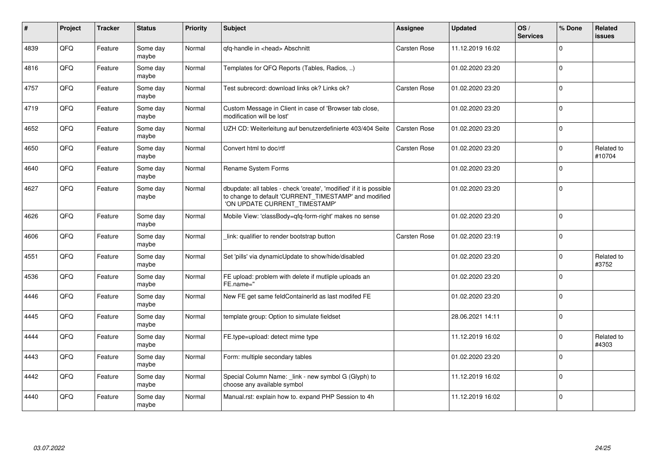| #    | <b>Project</b> | <b>Tracker</b> | <b>Status</b>     | Priority | <b>Subject</b>                                                                                                                                                | Assignee            | <b>Updated</b>   | OS/<br><b>Services</b> | % Done      | <b>Related</b><br><b>issues</b> |
|------|----------------|----------------|-------------------|----------|---------------------------------------------------------------------------------------------------------------------------------------------------------------|---------------------|------------------|------------------------|-------------|---------------------------------|
| 4839 | QFQ            | Feature        | Some day<br>maybe | Normal   | gfg-handle in <head> Abschnitt</head>                                                                                                                         | Carsten Rose        | 11.12.2019 16:02 |                        | $\Omega$    |                                 |
| 4816 | QFQ            | Feature        | Some day<br>maybe | Normal   | Templates for QFQ Reports (Tables, Radios, )                                                                                                                  |                     | 01.02.2020 23:20 |                        | $\mathbf 0$ |                                 |
| 4757 | QFQ            | Feature        | Some day<br>maybe | Normal   | Test subrecord: download links ok? Links ok?                                                                                                                  | <b>Carsten Rose</b> | 01.02.2020 23:20 |                        | $\Omega$    |                                 |
| 4719 | QFQ            | Feature        | Some day<br>maybe | Normal   | Custom Message in Client in case of 'Browser tab close,<br>modification will be lost'                                                                         |                     | 01.02.2020 23:20 |                        | $\Omega$    |                                 |
| 4652 | QFQ            | Feature        | Some day<br>maybe | Normal   | UZH CD: Weiterleitung auf benutzerdefinierte 403/404 Seite                                                                                                    | Carsten Rose        | 01.02.2020 23:20 |                        | $\mathbf 0$ |                                 |
| 4650 | QFQ            | Feature        | Some day<br>maybe | Normal   | Convert html to doc/rtf                                                                                                                                       | <b>Carsten Rose</b> | 01.02.2020 23:20 |                        | $\mathbf 0$ | Related to<br>#10704            |
| 4640 | QFQ            | Feature        | Some day<br>maybe | Normal   | Rename System Forms                                                                                                                                           |                     | 01.02.2020 23:20 |                        | $\Omega$    |                                 |
| 4627 | QFQ            | Feature        | Some dav<br>maybe | Normal   | dbupdate: all tables - check 'create', 'modified' if it is possible<br>to change to default 'CURRENT_TIMESTAMP' and modified<br>'ON UPDATE CURRENT_TIMESTAMP' |                     | 01.02.2020 23:20 |                        | $\mathbf 0$ |                                 |
| 4626 | QFQ            | Feature        | Some day<br>maybe | Normal   | Mobile View: 'classBody=qfq-form-right' makes no sense                                                                                                        |                     | 01.02.2020 23:20 |                        | $\mathbf 0$ |                                 |
| 4606 | QFQ            | Feature        | Some day<br>maybe | Normal   | link: qualifier to render bootstrap button                                                                                                                    | <b>Carsten Rose</b> | 01.02.2020 23:19 |                        | $\mathbf 0$ |                                 |
| 4551 | QFQ            | Feature        | Some day<br>maybe | Normal   | Set 'pills' via dynamicUpdate to show/hide/disabled                                                                                                           |                     | 01.02.2020 23:20 |                        | $\mathbf 0$ | Related to<br>#3752             |
| 4536 | QFQ            | Feature        | Some day<br>maybe | Normal   | FE upload: problem with delete if mutliple uploads an<br>FE.name="                                                                                            |                     | 01.02.2020 23:20 |                        | $\Omega$    |                                 |
| 4446 | QFQ            | Feature        | Some day<br>maybe | Normal   | New FE get same feldContainerId as last modifed FE                                                                                                            |                     | 01.02.2020 23:20 |                        | $\Omega$    |                                 |
| 4445 | QFQ            | Feature        | Some day<br>maybe | Normal   | template group: Option to simulate fieldset                                                                                                                   |                     | 28.06.2021 14:11 |                        | $\Omega$    |                                 |
| 4444 | QFQ            | Feature        | Some day<br>maybe | Normal   | FE.type=upload: detect mime type                                                                                                                              |                     | 11.12.2019 16:02 |                        | $\mathbf 0$ | Related to<br>#4303             |
| 4443 | QFQ            | Feature        | Some dav<br>maybe | Normal   | Form: multiple secondary tables                                                                                                                               |                     | 01.02.2020 23:20 |                        | $\mathbf 0$ |                                 |
| 4442 | QFQ            | Feature        | Some day<br>maybe | Normal   | Special Column Name: _link - new symbol G (Glyph) to<br>choose any available symbol                                                                           |                     | 11.12.2019 16:02 |                        | $\Omega$    |                                 |
| 4440 | QFQ            | Feature        | Some day<br>maybe | Normal   | Manual.rst: explain how to. expand PHP Session to 4h                                                                                                          |                     | 11.12.2019 16:02 |                        | $\mathbf 0$ |                                 |